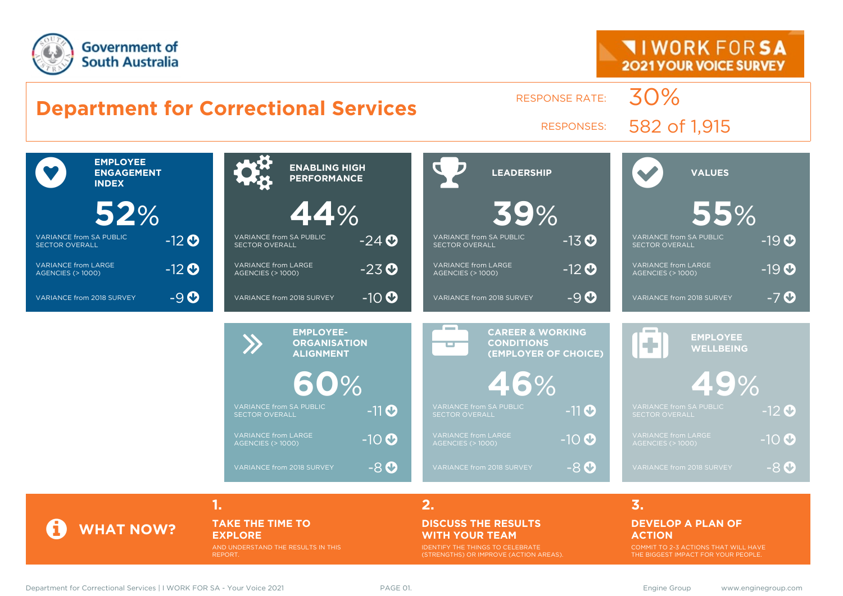



#### **WITH YOUR TEAM**

IDENTIFY THE THINGS TO CELEBRATE (STRENGTHS) OR IMPROVE (ACTION AREAS).

**EXPLORE**

REPORT.

AND UNDERSTAND THE RESULTS IN THIS

COMMIT TO 2-3 ACTIONS THAT WILL HAVE THE BIGGEST IMPACT FOR YOUR PEOPLE.

**ACTION**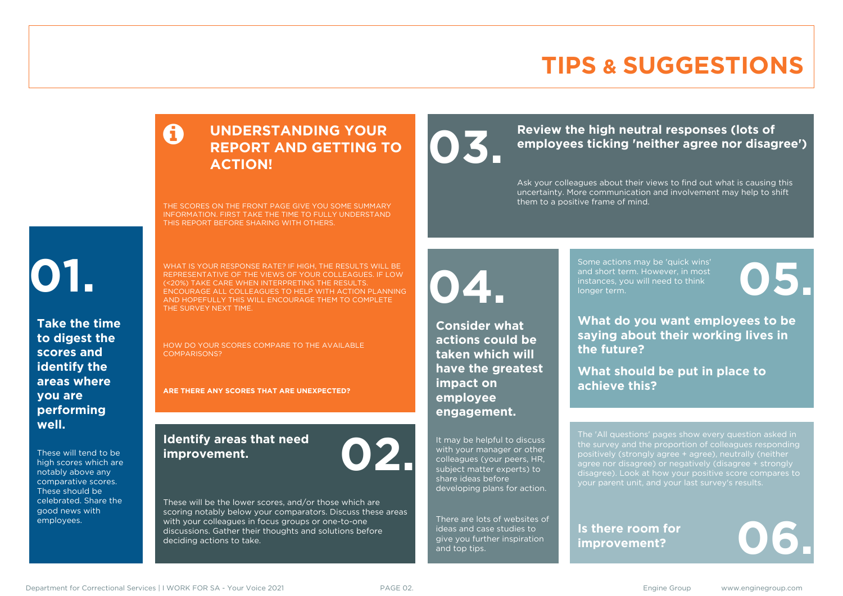### **TIPS & SUGGESTIONS**

#### **UNDERSTANDING YOUR REPORT AND GETTING TO ACTION!**

THE SCORES ON THE FRONT PAGE GIVE YOU SOME SUMMARY INFORMATION. FIRST TAKE THE TIME TO FULLY UNDERSTAND THIS REPORT BEFORE SHARING WITH OTHERS.

# **01.**

**Take the time to digest the scores and identify the areas where you are performing well.**

These will tend to be high scores which are notably above any comparative scores. These should be celebrated. Share the good news with employees.

WHAT IS YOUR RESPONSE RATE? IF HIGH, THE RESULTS WILL BE REPRESENTATIVE OF THE VIEWS OF YOUR COLLEAGUES. IF LOW (<20%) TAKE CARE WHEN INTERPRETING THE RESULTS. ENCOURAGE ALL COLLEAGUES TO HELP WITH ACTION PLANNING AND HOPEFULLY THIS WILL ENCOURAGE THEM TO COMPLETE THE SURVEY NEXT TIME.

COMPARISONS?

#### **Identify areas that need improvement. 02.**

These will be the lower scores, and/or those which are scoring notably below your comparators. Discuss these areas with your colleagues in focus groups or one-to-one discussions. Gather their thoughts and solutions before deciding actions to take.

**04.**

**impact on employee engagement.**

**Consider what actions could be taken which will have the greatest** 

It may be helpful to discuss with your manager or other colleagues (your peers, HR, subject matter experts) to share ideas before

developing plans for action.

There are lots of websites of ideas and case studies to give you further inspiration

and top tips.

Review the high neutral responses (lots of employees ticking 'neither agree nor disag **employees ticking 'neither agree nor disagree')**

> Ask your colleagues about their views to find out what is causing this uncertainty. More communication and involvement may help to shift them to a positive frame of mind.

> > Some actions may be 'quick wins' and short term. However, in most instances, you will need to think Some actions may be 'quick wins'<br>and short term. However, in most<br>instances, you will need to think<br>longer term.

**What do you want employees to be saying about their working lives in the future?**

**What should be put in place to achieve this?**

The 'All questions' pages show every question asked in positively (strongly agree + agree), neutrally (neither agree nor disagree) or negatively (disagree + strongly disagree). Look at how your positive score compares to your parent unit, and your last survey's results.

**Is there room for**  Is there room for<br>improvement?

HOW DO YOUR SCORES COMPARE TO THE AVAILABLE

**ARE THERE ANY SCORES THAT ARE UNEXPECTED?**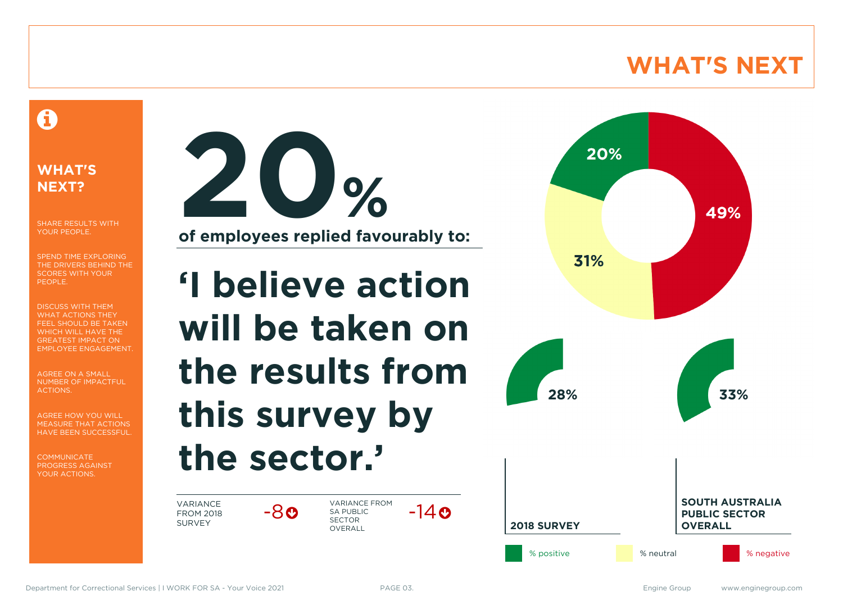### **WHAT'S NEXT**

#### A

#### **WHAT'S NEXT?**

SHARE RESULTS WITH YOUR PEOPLE.

SPEND TIME EXPLORING THE DRIVERS BEHIND THE SCORES WITH YOUR PEOPLE.

DISCUSS WITH THEM WHAT ACTIONS THEY FEEL SHOULD BE TAKEN WHICH WILL HAVE THE GREATEST IMPACT ON EMPLOYEE ENGAGEMENT.

AGREE ON A SMALL NUMBER OF IMPACTFUL ACTIONS.

AGREE HOW YOU WILL MEASURE THAT ACTIONS HAVE BEEN SUCCESSFUL.

**COMMUNICATE** PROGRESS AGAINST YOUR ACTIONS.



**of employees replied favourably to:**

# **'I believe action will be taken on the results from this survey by the sector.'**

-8

VARIANCE FROM 2018 SURVEY

VARIANCE FROM SA PUBLIC SECTOR **OVERALL**  $-14$  $\odot$ 

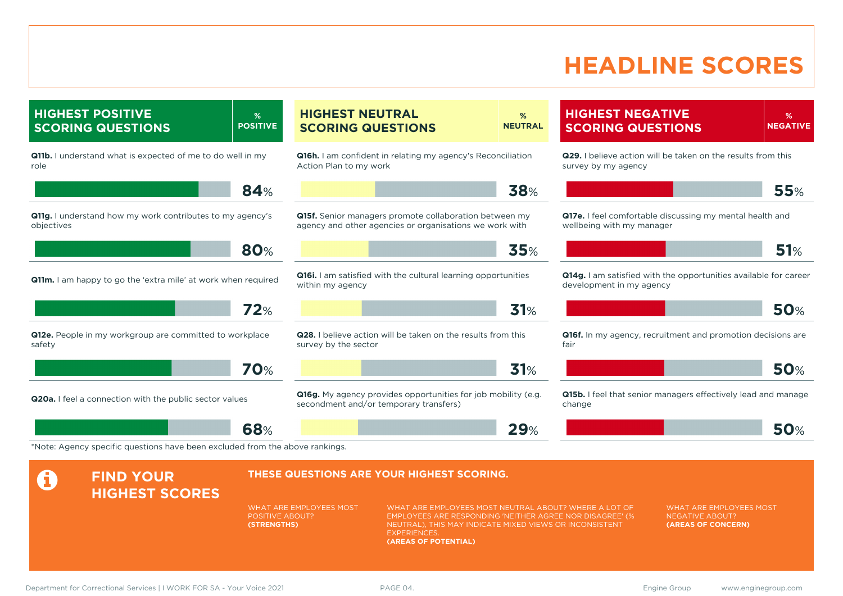### **HEADLINE SCORES**

**HIGHEST POSITIVE SCORING QUESTIONS % POSITIVE Q11b.** I understand what is expected of me to do well in my role **84**% **Q11g.** I understand how my work contributes to my agency's objectives **80**% **Q11m.** I am happy to go the 'extra mile' at work when required **72**% **Q12e.** People in my workgroup are committed to workplace safety **70**% **Q20a.** I feel a connection with the public sector values **68**% **HIGHEST NEUTRAL SCORING QUESTIONS % NEUTRAL Q16h.** I am confident in relating my agency's Reconciliation Action Plan to my work **38**% **Q15f.** Senior managers promote collaboration between my agency and other agencies or organisations we work with **35**% **Q16i.** I am satisfied with the cultural learning opportunities within my agency **31**% **Q28.** I believe action will be taken on the results from this survey by the sector **31**% **Q16g.** My agency provides opportunities for job mobility (e.g. secondment and/or temporary transfers) **29**% **HIGHEST NEGATIVE SCORING QUESTIONS % NEGATIVE Q29.** I believe action will be taken on the results from this survey by my agency **55**% **Q17e.** I feel comfortable discussing my mental health and wellbeing with my manager **51**% **Q14g.** I am satisfied with the opportunities available for career development in my agency **50**% **Q16f.** In my agency, recruitment and promotion decisions are fair **50**% **Q15b.** I feel that senior managers effectively lead and manage change **50**% \*Note: Agency specific questions have been excluded from the above rankings. **A** FIND YOUR **HIGHEST SCORES THESE QUESTIONS ARE YOUR HIGHEST SCORING.** WHAT ARE EMPLOYEES MOST POSITIVE ABOUT? **(STRENGTHS)** WHAT ARE EMPLOYEES MOST NEUTRAL ABOUT? WHERE A LOT OF EMPLOYEES ARE RESPONDING 'NEITHER AGREE NOR DISAGREE' (% NEUTRAL), THIS MAY INDICATE MIXED VIEWS OR INCONSISTENT **EXPERIENCES (AREAS OF POTENTIAL)** WHAT ARE EMPLOYEES MOST NEGATIVE ABOUT? **(AREAS OF CONCERN)**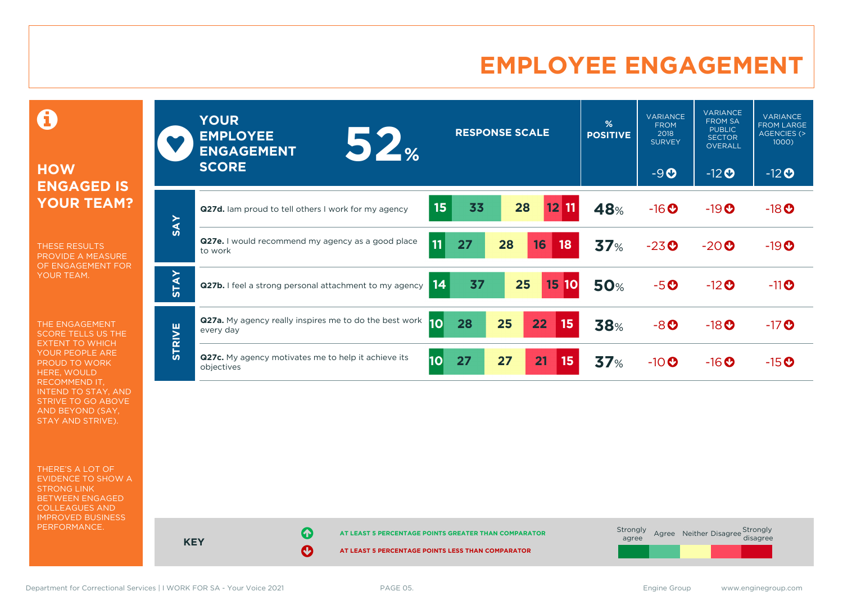#### **EMPLOYEE ENGAGEMENT**

**HOW ENGAGED IS YOUR TEAM?**

0

THESE RESULTS PROVIDE A MEASURE OF ENGAGEMENT FOR YOUR TEAM.

THE ENGAGEMENT SCORE TELLS US THE EXTENT TO WHICH YOUR PEOPLE ARE PROUD TO WORK HERE, WOULD RECOMMEND IT, INTEND TO STAY, AND STRIVE TO GO ABOVE AND BEYOND (SAY, STAY AND STRIVE).

THERE'S A LOT OF EVIDENCE TO SHOW A STRONG LINK BETWEEN ENGAGED COLLEAGUES AND IMPROVED BUSINESS PERFORMANCE.

|               | <b>YOUR</b><br><b>EMPLOYEE</b><br>52%<br><b>ENGAGEMENT</b><br><b>SCORE</b> | <b>RESPONSE SCALE</b>             | %<br><b>POSITIVE</b> | <b>VARIANCE</b><br><b>FROM</b><br>2018<br><b>SURVEY</b><br>$-9O$ | <b>VARIANCE</b><br><b>FROM SA</b><br><b>PUBLIC</b><br><b>SECTOR</b><br><b>OVERALL</b><br>$-12$ <b>O</b> | <b>VARIANCE</b><br><b>FROM LARGE</b><br>AGENCIES (><br>1000)<br>$-12$ <b>O</b> |
|---------------|----------------------------------------------------------------------------|-----------------------------------|----------------------|------------------------------------------------------------------|---------------------------------------------------------------------------------------------------------|--------------------------------------------------------------------------------|
|               |                                                                            |                                   |                      |                                                                  |                                                                                                         |                                                                                |
| <b>SAY</b>    | <b>Q27d.</b> Iam proud to tell others I work for my agency                 | 15<br>33<br>28<br>$12$ 11         | 48%                  | $-16$ <sup>O</sup>                                               | $-19O$                                                                                                  | $-18$ <sup>O</sup>                                                             |
|               | <b>Q27e.</b> I would recommend my agency as a good place<br>to work        | 11<br>16<br>27<br>28<br>18        | 37%                  | $-23o$                                                           | $-20o$                                                                                                  | $-19O$                                                                         |
| <b>STAY</b>   | Q27b. I feel a strong personal attachment to my agency                     | 14<br>37<br>25<br>15<br>10        | <b>50%</b>           | $-5o$                                                            | $-12$ <sup>O</sup>                                                                                      | $-11$ <sup>O</sup>                                                             |
| <b>STRIVE</b> | <b>Q27a.</b> My agency really inspires me to do the best work<br>every day | <b>10</b><br>25<br>22<br>28<br>15 | <b>38%</b>           | $-8$ <sup>O</sup>                                                | $-18$ <sup>O</sup>                                                                                      | $-17$ <sup>O</sup>                                                             |
|               | Q27c. My agency motivates me to help it achieve its<br>objectives          | 10<br>27<br>21<br>27<br>15        | 37%                  | $-10$ $\odot$                                                    | $-16$ <sup>O</sup>                                                                                      | $-15$ <sup>O</sup>                                                             |

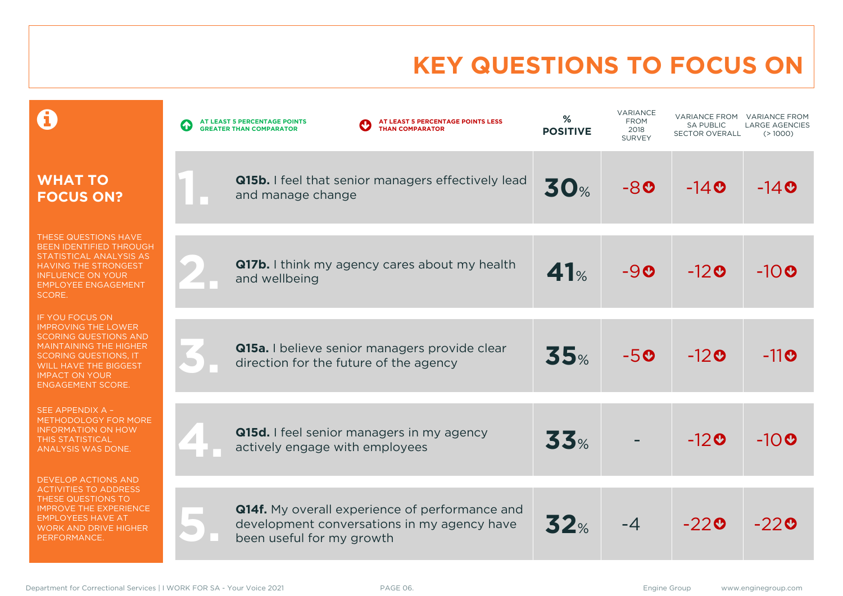# **KEY QUESTIONS TO FOCUS ON**

|                                                                                                                                                                                                                                            | AT LEAST 5 PERCENTAGE POINTS LESS<br>AT LEAST 5 PERCENTAGE POINTS<br>$\blacklozenge$<br><b>THAN COMPARATOR</b><br><b>GREATER THAN COMPARATOR</b> | %<br><b>POSITIVE</b> | VARIANCE<br><b>FROM</b><br>2018<br><b>SURVEY</b> | <b>VARIANCE FROM</b><br><b>SA PUBLIC</b><br><b>SECTOR OVERALL</b> | <b>VARIANCE FROM</b><br><b>LARGE AGENCIES</b><br>(>1000) |
|--------------------------------------------------------------------------------------------------------------------------------------------------------------------------------------------------------------------------------------------|--------------------------------------------------------------------------------------------------------------------------------------------------|----------------------|--------------------------------------------------|-------------------------------------------------------------------|----------------------------------------------------------|
| <b>WHAT TO</b><br><b>FOCUS ON?</b>                                                                                                                                                                                                         | Q15b. I feel that senior managers effectively lead<br>and manage change                                                                          | <b>30%</b>           | -80                                              | $-140$                                                            | $-14$ 0                                                  |
| THESE QUESTIONS HAVE<br><b>BEEN IDENTIFIED THROUGH</b><br>STATISTICAL ANALYSIS AS<br><b>HAVING THE STRONGEST</b><br><b>INFLUENCE ON YOUR</b><br><b>EMPLOYEE ENGAGEMENT</b><br>SCORE.                                                       | <b>Q17b.</b> I think my agency cares about my health<br>and wellbeing                                                                            | 41%                  | $-90$                                            | $-120$                                                            | $-10$ 0                                                  |
| <b>IF YOU FOCUS ON</b><br><b>IMPROVING THE LOWER</b><br><b>SCORING QUESTIONS AND</b><br><b>MAINTAINING THE HIGHER</b><br><b>SCORING QUESTIONS, IT</b><br><b>WILL HAVE THE BIGGEST</b><br><b>IMPACT ON YOUR</b><br><b>ENGAGEMENT SCORE.</b> | Q15a. I believe senior managers provide clear<br>direction for the future of the agency                                                          | 35%                  | $-50$                                            | $-120$                                                            | $-11$ O                                                  |
| SEE APPENDIX A -<br><b>METHODOLOGY FOR MORE</b><br><b>INFORMATION ON HOW</b><br><b>THIS STATISTICAL</b><br><b>ANALYSIS WAS DONE.</b>                                                                                                       | Q15d. I feel senior managers in my agency<br>actively engage with employees                                                                      | 33%                  |                                                  | $-120$                                                            | $-10$ <sup><math>\odot</math></sup>                      |
| <b>DEVELOP ACTIONS AND</b><br><b>ACTIVITIES TO ADDRESS</b><br>THESE QUESTIONS TO<br><b>IMPROVE THE EXPERIENCE</b><br><b>EMPLOYEES HAVE AT</b><br><b>WORK AND DRIVE HIGHER</b><br>PERFORMANCE.                                              | <b>Q14f.</b> My overall experience of performance and<br>development conversations in my agency have<br>been useful for my growth                | 32%                  | $-4$                                             | $-220$                                                            | $-220$                                                   |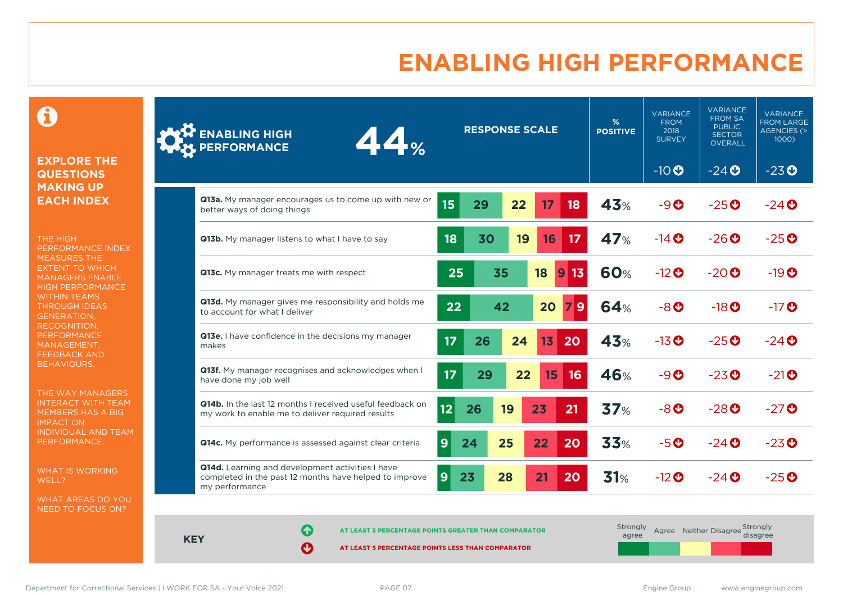### **ENABLING HIGH PERFORMANCE**

 $\mathbf \Theta$ 

#### **EXPLORE THE QUESTIONS MAKING UP EACH INDEX**

THE HIGH PERFORMANCE INDEX MEASURES THE EXTENT TO WHICH MANAGERS ENABLE HIGH PERFORMANCE WITHIN TEAMS THROUGH IDEAS GENERATION, RECOGNITION, **PERFORMANCE** MANAGEMENT, FEEDBACK AND BEHAVIOURS.

THE WAY MANAGERS INTERACT WITH TEAM MEMBERS HAS A BIG IMPACT ON INDIVIDUAL AND TEAM PERFORMANCE.

WHAT IS WORKING WELL?

WHAT AREAS DO YOU NEED TO FOCUS ON?

| <b>ENABLING HIGH</b><br>44%<br><b>PERFORMANCE</b>                                                                            |                | <b>RESPONSE SCALE</b> |    |                 | %<br><b>POSITIVE</b>   | <b>VARIANCE</b><br><b>FROM</b><br>2018<br><b>SURVEY</b> | <b>VARIANCE</b><br><b>FROM SA</b><br><b>PUBLIC</b><br><b>SECTOR</b><br>OVERALL | <b>VARIANCE</b><br><b>FROM LARGE</b><br><b>AGENCIES (&gt;</b><br>1000) |                                     |
|------------------------------------------------------------------------------------------------------------------------------|----------------|-----------------------|----|-----------------|------------------------|---------------------------------------------------------|--------------------------------------------------------------------------------|------------------------------------------------------------------------|-------------------------------------|
|                                                                                                                              |                |                       |    |                 |                        |                                                         | $-10$                                                                          | $-24$                                                                  | $-23o$                              |
| Q13a. My manager encourages us to come up with new or<br>better ways of doing things                                         | 15             | 29                    | 22 | 17              | 18                     | <b>43%</b>                                              | $-9O$                                                                          | $-25$ <sup>O</sup>                                                     | $-24$ <sup>O</sup>                  |
| Q13b. My manager listens to what I have to say                                                                               | 18             | 30                    | 19 | 16              | 17                     | 47%                                                     | $-14$ $\odot$                                                                  | $-26$ <sup>O</sup>                                                     | $-25$ <sup><math>\odot</math></sup> |
| Q13c. My manager treats me with respect                                                                                      | 25             |                       | 35 | 18              | 13<br>$\boldsymbol{9}$ | <b>60%</b>                                              | $-12$ <sup>O</sup>                                                             | $-20$ <sup>O</sup>                                                     | $-19$ <sup><math>\odot</math></sup> |
| Q13d. My manager gives me responsibility and holds me<br>to account for what I deliver                                       | 22             |                       | 42 | 20              | 9                      | 64%                                                     | $-8o$                                                                          | $-18$ <sup>O</sup>                                                     | $-17$ <sup>O</sup>                  |
| Q13e. I have confidence in the decisions my manager<br>makes                                                                 | 17             | 26                    | 24 | 13 <sub>1</sub> | 20                     | <b>43%</b>                                              | $-13$ <sup>O</sup>                                                             | $-25$ <sup>O</sup>                                                     | $-24$ <sup><math>\odot</math></sup> |
| Q13f. My manager recognises and acknowledges when I<br>have done my job well                                                 | 17             | 29                    | 22 | 15              | 16                     | 46%                                                     | $-9O$                                                                          | $-23$ <sup>O</sup>                                                     | $-21$ <sup>O</sup>                  |
| Q14b. In the last 12 months I received useful feedback on<br>my work to enable me to deliver required results                | 12             | 26                    | 19 | 23              | 21                     | 37%                                                     | $-8o$                                                                          | $-28$ <sup>O</sup>                                                     | $-27$ <sup>O</sup>                  |
| Q14c. My performance is assessed against clear criteria                                                                      | 9              | 24                    | 25 | 22              | 20                     | 33%                                                     | $-5o$                                                                          | $-24$ $\odot$                                                          | $-23$ <sup>O</sup>                  |
| Q14d. Learning and development activities I have<br>completed in the past 12 months have helped to improve<br>my performance | $\overline{9}$ | 23                    | 28 | 21              | 20                     | 31%                                                     | $-12$ <sup>O</sup>                                                             | $-24$ $\odot$                                                          | $-25$ <sup><math>\odot</math></sup> |

**KEY**

**AT LEAST 5 PERCENTAGE POINTS GREATER THAN COMPARATOR** 

| Strongly<br>agree |  | Agree Neither Disagree Strongly<br>disagree |
|-------------------|--|---------------------------------------------|
|                   |  |                                             |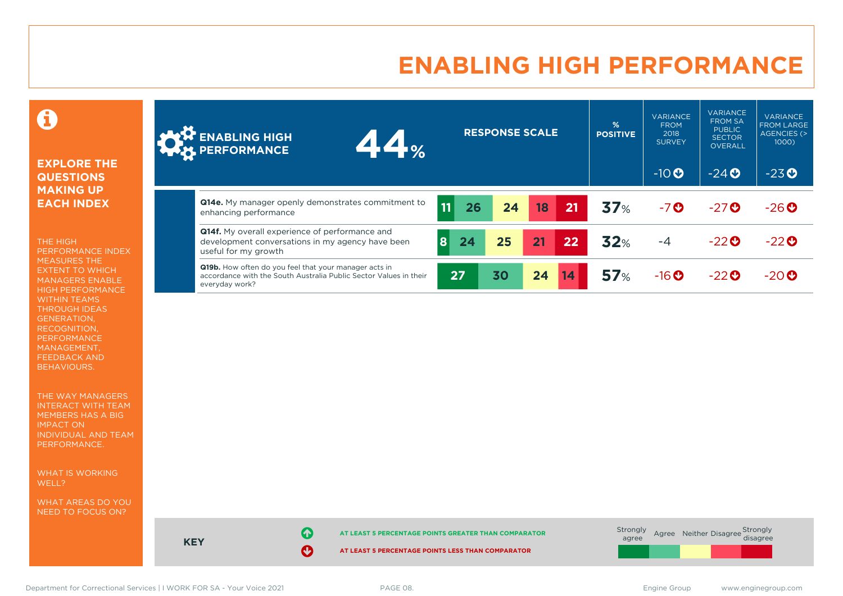### **ENABLING HIGH PERFORMANCE**

#### Ô

#### **EXPLORE THE QUESTIONS MAKING UP EACH INDEX**

THE HIGH PERFORMANCE INDEX MEASURES THE EXTENT TO WHICH MANAGERS ENABLE HIGH PERFORMANCE WITHIN TEAMS THROUGH IDEAS GENERATION, RECOGNITION, PERFORMANCE MANAGEMENT, FEEDBACK AND BEHAVIOURS.

THE WAY MANAGERS INTERACT WITH TEAM MEMBERS HAS A BIG IMPACT ON INDIVIDUAL AND TEAM PERFORMANCE.

WHAT IS WORKING WELL?

WHAT AREAS DO YOU NEED TO FOCUS ON?

| <b>AND ENABLING HIGH</b><br>44%                                                                                                              |          | <b>RESPONSE SCALE</b> |    |    | %<br><b>POSITIVE</b> | <b>VARIANCE</b><br><b>FROM</b><br>2018<br><b>SURVEY</b> | <b>VARIANCE</b><br><b>FROM SA</b><br><b>PUBLIC</b><br><b>SECTOR</b><br>OVERALL | <b>VARIANCE</b><br><b>FROM LARGE</b><br>AGENCIES (><br>1000) |
|----------------------------------------------------------------------------------------------------------------------------------------------|----------|-----------------------|----|----|----------------------|---------------------------------------------------------|--------------------------------------------------------------------------------|--------------------------------------------------------------|
|                                                                                                                                              |          |                       |    |    |                      | $-10$ <sup>O</sup>                                      | $-24$ <sup>O</sup>                                                             | $-23o$                                                       |
| Q14e. My manager openly demonstrates commitment to<br>enhancing performance                                                                  | 11<br>26 | 24                    | 18 | 21 | 37%                  | $-7o$                                                   | $-27$ <sup>O</sup>                                                             | $-26$                                                        |
| <b>Q14f.</b> My overall experience of performance and<br>development conversations in my agency have been<br>useful for my growth            | 8<br>24  | 25                    | 21 | 22 | 32%                  | $-4$                                                    | $-22$ <sup><math>\odot</math></sup>                                            | $-22$                                                        |
| Q19b. How often do you feel that your manager acts in<br>accordance with the South Australia Public Sector Values in their<br>everyday work? | 27       | 30                    | 24 | 14 | 57%                  | $-16$ <sup>O</sup>                                      | $-22$ <sup><math>\odot</math></sup>                                            | $-20o$                                                       |

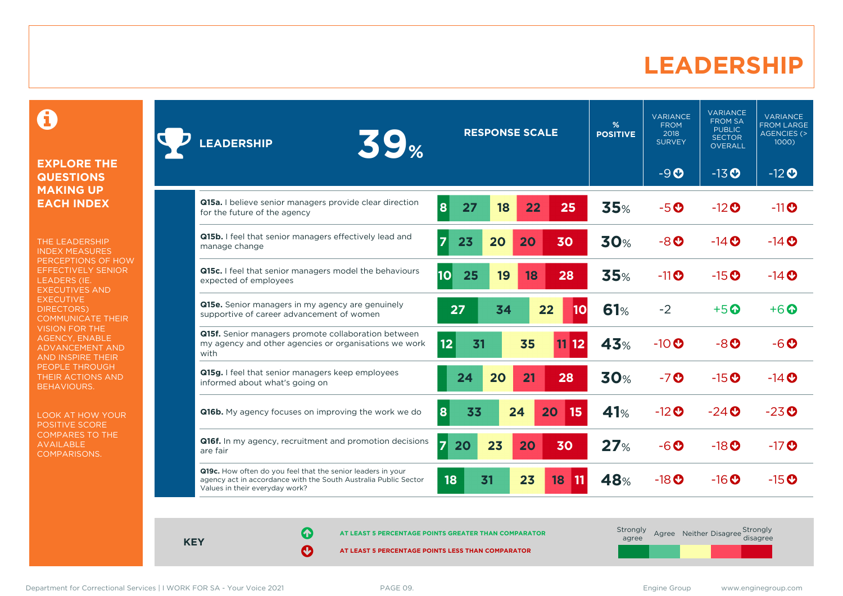#### **LEADERSHIP**

0

#### **EXPLORE THE QUESTIONS MAKING UP EACH INDEX**

THE LEADERSHIP INDEX MEASURES PERCEPTIONS OF HOW EFFECTIVELY SENIOR LEADERS (IE. EXECUTIVES AND **EXECUTIVE** DIRECTORS) COMMUNICATE THEIR VISION FOR THE AGENCY, ENABLE ADVANCEMENT AND AND INSPIRE THEIR PEOPLE THROUGH THEIR ACTIONS AND BEHAVIOURS.

LOOK AT HOW YOUR POSITIVE SCORE COMPARES TO THE AVAILABLE COMPARISONS.

| <b>39%</b><br><b>LEADERSHIP</b>                                                                                                                                  | <b>RESPONSE SCALE</b>                  | %<br><b>POSITIVE</b> | <b>VARIANCE</b><br><b>FROM</b><br>2018<br><b>SURVEY</b> | <b>VARIANCE</b><br><b>FROM SA</b><br><b>PUBLIC</b><br><b>SECTOR</b><br><b>OVERALL</b> | <b>VARIANCE</b><br><b>FROM LARGE</b><br><b>AGENCIES (&gt;</b><br>1000) |
|------------------------------------------------------------------------------------------------------------------------------------------------------------------|----------------------------------------|----------------------|---------------------------------------------------------|---------------------------------------------------------------------------------------|------------------------------------------------------------------------|
|                                                                                                                                                                  |                                        |                      | $-9O$                                                   | $-13$ <b>O</b>                                                                        | $-12$ <b>O</b>                                                         |
| Q15a. I believe senior managers provide clear direction<br>for the future of the agency                                                                          | 8<br>27<br>22<br>25<br>18              | 35%                  | $-5o$                                                   | $-12$ <sup>O</sup>                                                                    | $-11$ <sup>O</sup>                                                     |
| Q15b. I feel that senior managers effectively lead and<br>manage change                                                                                          | 23<br>20<br>20<br>30                   | <b>30%</b>           | $-8o$                                                   | $-14$ <b>O</b>                                                                        | $-14$ $\odot$                                                          |
| Q15c. I feel that senior managers model the behaviours<br>expected of employees                                                                                  | 10<br>25<br>19<br>28<br>18             | 35%                  | $-11$ <sup>O</sup>                                      | $-15$ <sup>O</sup>                                                                    | $-14$ $\odot$                                                          |
| <b>Q15e.</b> Senior managers in my agency are genuinely<br>supportive of career advancement of women                                                             | 27<br>34<br>22<br>10                   | 61%                  | $-2$                                                    | $+5$ $\odot$                                                                          | $+6$ $\odot$                                                           |
| Q15f. Senior managers promote collaboration between<br>my agency and other agencies or organisations we work<br>with                                             | 35<br> 12 <br>31<br>12<br>11           | 43%                  | $-10$ <sup>O</sup>                                      | $-8$ $O$                                                                              | $-6o$                                                                  |
| Q15g. I feel that senior managers keep employees<br>informed about what's going on                                                                               | 24<br>20<br>21<br>28                   | <b>30%</b>           | $-7$ <sup>O</sup>                                       | $-15$ <sup>O</sup>                                                                    | $-14$ $\odot$                                                          |
| <b>Q16b.</b> My agency focuses on improving the work we do                                                                                                       | 8<br>33<br>24<br>15<br>20              | 41%                  | $-12$ <sup>O</sup>                                      | $-24$ $\odot$                                                                         | $-23$ <sup>O</sup>                                                     |
| Q16f. In my agency, recruitment and promotion decisions<br>are fair                                                                                              | $\overline{7}$<br>23<br>20<br>20<br>30 | 27%                  | $-6o$                                                   | $-18$ <sup>O</sup>                                                                    | $-17$ <sup>O</sup>                                                     |
| Q19c. How often do you feel that the senior leaders in your<br>agency act in accordance with the South Australia Public Sector<br>Values in their everyday work? | 18<br>23<br>31<br>18                   | 48%                  | $-18$ <sup>O</sup>                                      | $-16$ <sup>O</sup>                                                                    | $-15$ <sup>O</sup>                                                     |

**KEY**

**AT LEAST 5 PERCENTAGE POINTS GREATER THAN COMPARATOR** 

**AT LEAST 5 PERCENTAGE POINTS LESS THAN COMPARATOR** 

**Strongly** agree Agree Neither Disagree Strongly<br>disagree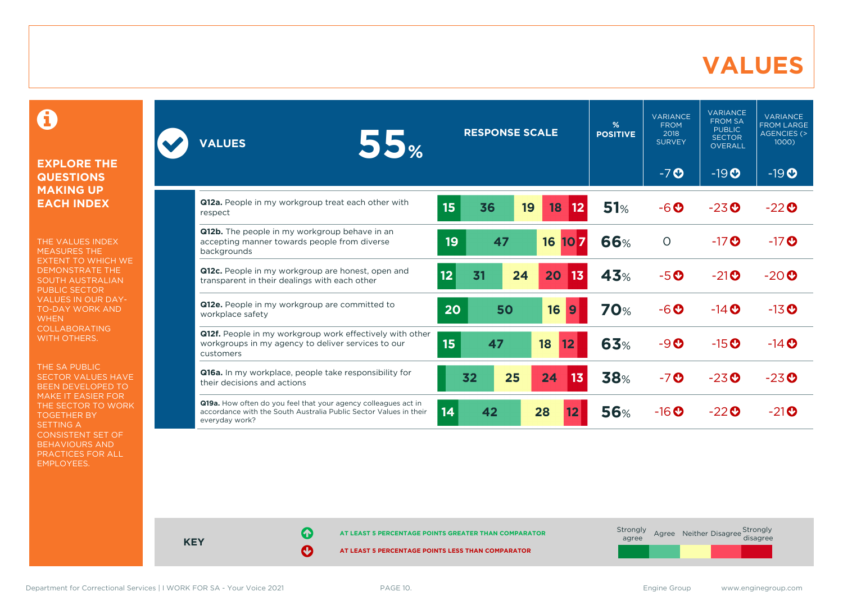#### **VALUES**

0

#### **EXPLORE THE QUESTIONS MAKING UP EACH INDEX**

THE VALUES INDEX MEASURES THE EXTENT TO WHICH WE DEMONSTRATE THE SOUTH AUSTRALIAN PUBLIC SECTOR VALUES IN OUR DAY-TO-DAY WORK AND **WHEN** COLLABORATING WITH OTHERS.

THE SA PUBLIC SECTOR VALUES HAVE BEEN DEVELOPED TO MAKE IT EASIER FOR THE SECTOR TO WORK TOGETHER BY SETTING A CONSISTENT SET OF BEHAVIOURS AND PRACTICES FOR ALL EMPLOYEES.

| 55%<br><b>VALUES</b>                                                                                                                                  | <b>RESPONSE SCALE</b>      | %<br><b>POSITIVE</b> | <b>VARIANCE</b><br><b>FROM</b><br>2018<br><b>SURVEY</b> | <b>VARIANCE</b><br><b>FROM SA</b><br><b>PUBLIC</b><br><b>SECTOR</b><br><b>OVERALL</b> | <b>VARIANCE</b><br><b>FROM LARGE</b><br>AGENCIES (><br>$1000$ ) |
|-------------------------------------------------------------------------------------------------------------------------------------------------------|----------------------------|----------------------|---------------------------------------------------------|---------------------------------------------------------------------------------------|-----------------------------------------------------------------|
|                                                                                                                                                       |                            |                      | $-7o$                                                   | $-19O$                                                                                | $-19O$                                                          |
| Q12a. People in my workgroup treat each other with<br>respect                                                                                         | 15<br>36<br>19<br>18<br>12 | 51%                  | $-6o$                                                   | $-23$ <sup>O</sup>                                                                    | $-22$                                                           |
| Q12b. The people in my workgroup behave in an<br>accepting manner towards people from diverse<br>backgrounds                                          | 19<br>47<br>16<br>107      | 66%                  | $\circ$                                                 | $-17$ $\odot$                                                                         | $-17$ $\odot$                                                   |
| Q12c. People in my workgroup are honest, open and<br>transparent in their dealings with each other                                                    | 12<br>31<br>24<br>20<br>13 | 43%                  | $-5o$                                                   | $-21$ <sup>O</sup>                                                                    | $-20o$                                                          |
| Q12e. People in my workgroup are committed to<br>workplace safety                                                                                     | 20<br>50<br>16<br>9        | <b>70%</b>           | $-6o$                                                   | $-14$ $\odot$                                                                         | $-13$ <sup>O</sup>                                              |
| Q12f. People in my workgroup work effectively with other<br>workgroups in my agency to deliver services to our<br>customers                           | 15<br>47<br>18<br>12       | 63%                  | $-9O$                                                   | $-15$ <sup>O</sup>                                                                    | $-14$ $\odot$                                                   |
| Q16a. In my workplace, people take responsibility for<br>their decisions and actions                                                                  | 25<br>32<br>24<br>13       | <b>38%</b>           | $-7o$                                                   | $-23$ <sup>O</sup>                                                                    | $-23$ <sup>O</sup>                                              |
| Q19a. How often do you feel that your agency colleagues act in<br>accordance with the South Australia Public Sector Values in their<br>everyday work? | 14<br>42<br>28<br>12       | <b>56%</b>           | $-16$ <sup>O</sup>                                      | $-22$ <sup>O</sup>                                                                    | $-21$ <sup>O</sup>                                              |



**KEY**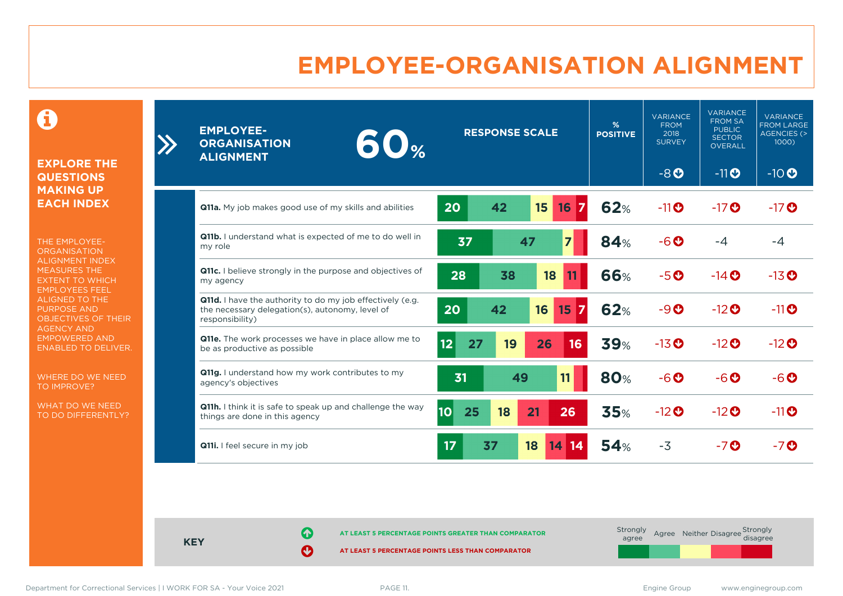### **EMPLOYEE-ORGANISATION ALIGNMENT**

0

**EXPLORE THE QUESTIONS MAKING UP EACH INDEX**

 $\sum$ 

THE EMPLOYEE-**ORGANISATION** ALIGNMENT INDEX MEASURES THE EXTENT TO WHICH EMPLOYEES FEEL ALIGNED TO THE PURPOSE AND OBJECTIVES OF THEIR AGENCY AND EMPOWERED AND ENABLED TO DELIVER.

WHERE DO WE NEED TO IMPROVE?

WHAT DO WE NEED TO DO DIFFERENTLY?

| <b>EMPLOYEE-</b><br>60 <sub>%</sub><br><b>ORGANISATION</b><br><b>ALIGNMENT</b>                                                  | <b>RESPONSE SCALE</b>             | %<br><b>POSITIVE</b> | <b>VARIANCE</b><br><b>FROM</b><br>2018<br><b>SURVEY</b> | <b>VARIANCE</b><br><b>FROM SA</b><br><b>PUBLIC</b><br><b>SECTOR</b><br><b>OVERALL</b> | VARIANCE<br><b>FROM LARGE</b><br>AGENCIES (><br>1000) |
|---------------------------------------------------------------------------------------------------------------------------------|-----------------------------------|----------------------|---------------------------------------------------------|---------------------------------------------------------------------------------------|-------------------------------------------------------|
|                                                                                                                                 |                                   |                      | $-8$ <sup>O</sup>                                       | $-11$ O                                                                               | $-10$                                                 |
| <b>Q11a.</b> My job makes good use of my skills and abilities                                                                   | 20<br>42<br>15<br>16              | <b>62%</b>           | $-11$ <sup>O</sup>                                      | $-17$ <sup>O</sup>                                                                    | $-17$ <sup>O</sup>                                    |
| Q11b. I understand what is expected of me to do well in<br>my role                                                              | 37<br>47<br>$\overline{7}$        | 84%                  | $-6o$                                                   | $-4$                                                                                  | -4                                                    |
| <b>Q11c.</b> I believe strongly in the purpose and objectives of<br>my agency                                                   | 28<br>38<br>18                    | 66%                  | $-5o$                                                   | $-14$ $\odot$                                                                         | $-13$ <sup>O</sup>                                    |
| Q11d. I have the authority to do my job effectively (e.g.<br>the necessary delegation(s), autonomy, level of<br>responsibility) | 42<br>20<br>16<br>17<br>15        | <b>62%</b>           | $-9O$                                                   | $-12$ <sup>O</sup>                                                                    | $-11$ O                                               |
| Q11e. The work processes we have in place allow me to<br>be as productive as possible                                           | 12<br>27<br>16<br>19<br>26        | <b>39%</b>           | $-13$ <sup>O</sup>                                      | $-12$ <sup>O</sup>                                                                    | $-12$ <sup>O</sup>                                    |
| Q11g. I understand how my work contributes to my<br>agency's objectives                                                         | 31<br>49<br>11                    | <b>80%</b>           | $-6o$                                                   | $-6$ $O$                                                                              | $-6$ $\odot$                                          |
| Q11h. I think it is safe to speak up and challenge the way<br>things are done in this agency                                    | <b>10</b><br>25<br>18<br>21<br>26 | 35%                  | $-12$ <sup>O</sup>                                      | $-12$ <sup>O</sup>                                                                    | $-11$ <sup>O</sup>                                    |
| Q11i. I feel secure in my job                                                                                                   | 17<br>37<br>18<br>14<br>14        | 54%                  | $-3$                                                    | $-7$ $\odot$                                                                          | $-7$ <sup>O</sup>                                     |

**KEY**

**AT LEAST 5 PERCENTAGE POINTS GREATER THAN COMPARATOR**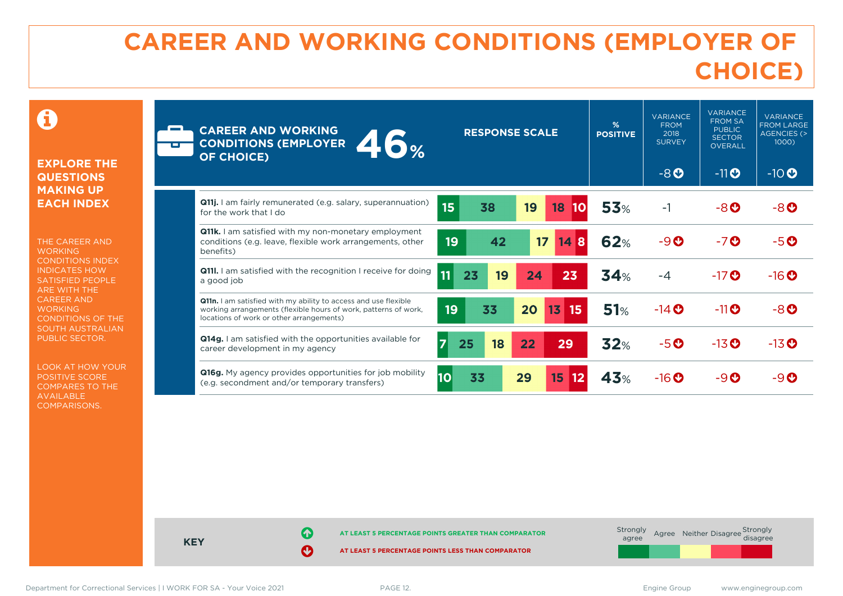## **CAREER AND WORKING CONDITIONS (EMPLOYER OF CHOICE)**

 $\mathbf \Omega$ 

#### **EXPLORE THE QUESTIONS MAKING UP EACH INDEX**

THE CAREER AND **WORKING** CONDITIONS INDEX INDICATES HOW SATISFIED PEOPLE ARE WITH THE CAREER AND **WORKING** CONDITIONS OF THE SOUTH AUSTRALIAN PUBLIC SECTOR.

LOOK AT HOW YOUR POSITIVE SCORE COMPARES TO THE AVAILABLE COMPARISONS.

| <b>CAREER AND WORKING</b><br>46%<br><b>CONDITIONS (EMPLOYER</b><br><b>OF CHOICE)</b>                                                                                                  | <b>RESPONSE SCALE</b> |    |    | %<br><b>POSITIVE</b> | <b>VARIANCE</b><br><b>FROM</b><br>2018<br><b>SURVEY</b><br>$-8O$ | <b>VARIANCE</b><br><b>FROM SA</b><br><b>PUBLIC</b><br><b>SECTOR</b><br><b>OVERALL</b><br>$-11$ O | <b>VARIANCE</b><br><b>FROM LARGE</b><br><b>AGENCIES (&gt;</b><br>1000)<br>$-10$ <sup>O</sup> |                    |
|---------------------------------------------------------------------------------------------------------------------------------------------------------------------------------------|-----------------------|----|----|----------------------|------------------------------------------------------------------|--------------------------------------------------------------------------------------------------|----------------------------------------------------------------------------------------------|--------------------|
|                                                                                                                                                                                       |                       |    |    |                      |                                                                  |                                                                                                  |                                                                                              |                    |
| <b>Q11j.</b> I am fairly remunerated (e.g. salary, superannuation)<br>for the work that I do                                                                                          | 15                    | 38 | 19 | 18                   | <b>53%</b>                                                       | $-1$                                                                                             | $-8$ $O$                                                                                     | -80                |
| <b>Q11k.</b> I am satisfied with my non-monetary employment<br>conditions (e.g. leave, flexible work arrangements, other<br>benefits)                                                 | 19                    | 42 | 17 | 14<br>8              | 62%                                                              | $-9O$                                                                                            | $-7o$                                                                                        | $-5o$              |
| <b>Q11I.</b> I am satisfied with the recognition I receive for doing<br>a good job                                                                                                    | 11<br>23              | 19 | 24 | 23                   | 34%                                                              | -4                                                                                               | $-17$ <sup>O</sup>                                                                           | $-16$ <sup>O</sup> |
| <b>Q11n.</b> I am satisfied with my ability to access and use flexible<br>working arrangements (flexible hours of work, patterns of work,<br>locations of work or other arrangements) | 19                    | 33 | 20 | 13<br>15             | 51%                                                              | $-14$ <sup>O</sup>                                                                               | $-11$ <sup>O</sup>                                                                           | -80                |
| <b>Q14g.</b> I am satisfied with the opportunities available for<br>career development in my agency                                                                                   | $\overline{7}$<br>25  | 18 | 22 | 29                   | 32%                                                              | $-5o$                                                                                            | $-13$ <sup>O</sup>                                                                           | $-13$ <sup>O</sup> |
| <b>Q16g.</b> My agency provides opportunities for job mobility<br>(e.g. secondment and/or temporary transfers)                                                                        | 10                    | 33 | 29 | 15<br>12             | <b>43%</b>                                                       | $-16$ <sup>O</sup>                                                                               | $-9$ $\odot$                                                                                 | $-9$ $\odot$       |



Department for Correctional Services | I WORK FOR SA - Your Voice 2021 PAGE 12. Engine Group www.enginegroup.com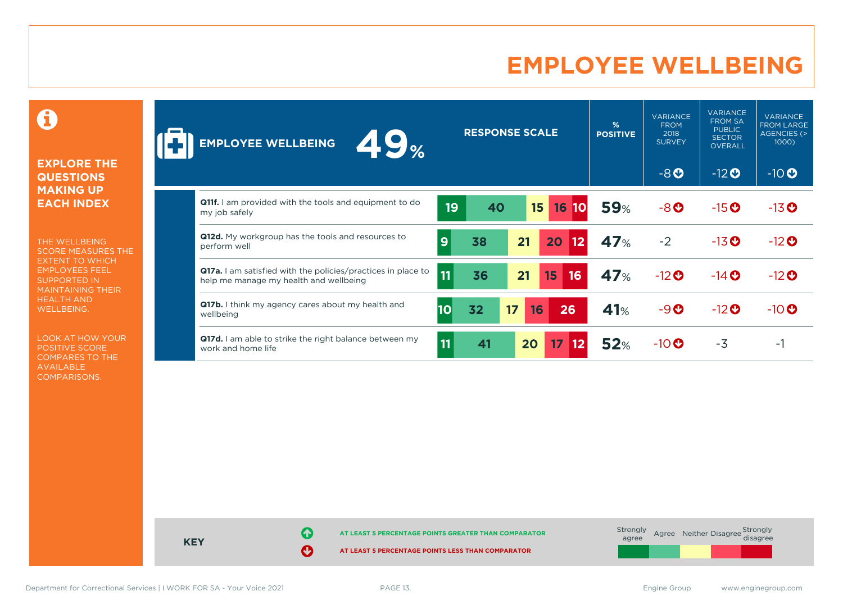### **EMPLOYEE WELLBEING**

0

#### **EXPLORE THE QUESTIONS MAKING UP EACH INDEX**

THE WELLBEING SCORE MEASURES THE EXTENT TO WHICH EMPLOYEES FEEL SUPPORTED IN MAINTAINING THEIR HEALTH AND WELLBEING.

LOOK AT HOW YOUR POSITIVE SCORE COMPARES TO THE AVAILABLE COMPARISONS.

| <b>ZS</b> %<br><b>EMPLOYEE WELLBEING</b>                                                                      |    | <b>RESPONSE SCALE</b> |          |                       | %<br><b>POSITIVE</b> | <b>VARIANCE</b><br><b>FROM</b><br>2018<br><b>SURVEY</b> | <b>VARIANCE</b><br><b>FROM SA</b><br><b>PUBLIC</b><br><b>SECTOR</b><br>OVERALL | <b>VARIANCE</b><br><b>FROM LARGE</b><br>AGENCIES (><br>1000) |
|---------------------------------------------------------------------------------------------------------------|----|-----------------------|----------|-----------------------|----------------------|---------------------------------------------------------|--------------------------------------------------------------------------------|--------------------------------------------------------------|
|                                                                                                               |    |                       |          |                       |                      | $-8O$                                                   | $-12$ <b>O</b>                                                                 | $-10$ <sup>O</sup>                                           |
| <b>Q11f.</b> I am provided with the tools and equipment to do<br>my job safely                                | 19 | 40                    | 15       | 16<br><b>10</b>       | <b>59%</b>           | $-8o$                                                   | $-15$ <sup>O</sup>                                                             | $-13$ <sup>O</sup>                                           |
| Q12d. My workgroup has the tools and resources to<br>perform well                                             | 9  | 38                    | 21       | 20<br>  12            | 47%                  | $-2$                                                    | $-13$ <sup>O</sup>                                                             | $-12$ <sup>O</sup>                                           |
| <b>Q17a.</b> I am satisfied with the policies/practices in place to<br>help me manage my health and wellbeing | 11 | 36                    | 21       | 15<br>16              | <b>47%</b>           | $-12$ <sup>O</sup>                                      | $-14$ <b>O</b>                                                                 | $-12$ <sup>O</sup>                                           |
| <b>Q17b.</b> I think my agency cares about my health and<br>wellbeing                                         | 10 | 32                    | 17<br>16 | 26                    | 41%                  | $-9o$                                                   | $-12$ <sup>O</sup>                                                             | $-10$ <sup>O</sup>                                           |
| <b>Q17d.</b> I am able to strike the right balance between my<br>work and home life                           | 11 | 41                    | 20       | 17 <sup>2</sup><br>12 | 52%                  | $-10$ $\odot$                                           | $-3$                                                                           | - 1                                                          |

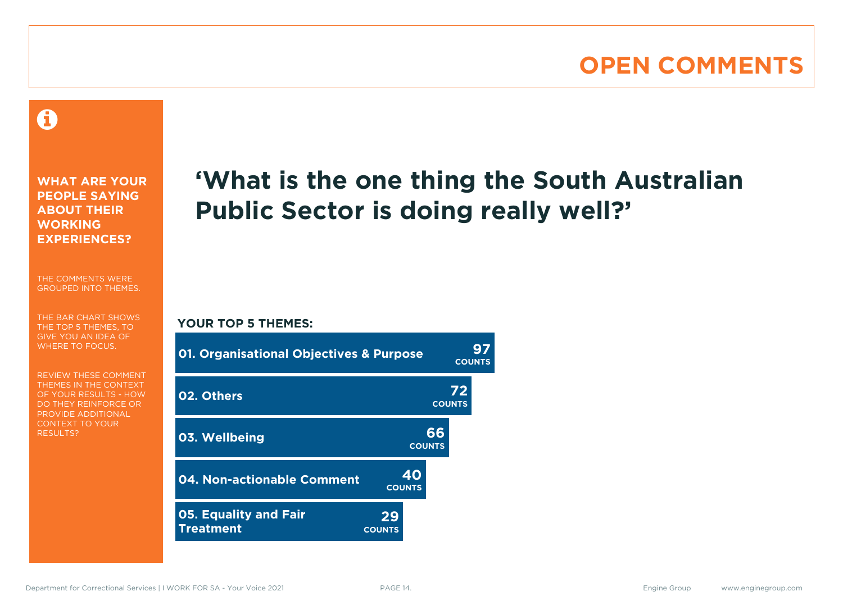### **OPEN COMMENTS**

#### 0

**WHAT ARE YOUR PEOPLE SAYING ABOUT THEIR WORKING EXPERIENCES?**

THE COMMENTS WERE GROUPED INTO THEMES.

THE BAR CHART SHOWS THE TOP 5 THEMES, TO GIVE YOU AN IDEA OF WHERE TO FOCUS.

REVIEW THESE COMMENT THEMES IN THE CONTEXT OF YOUR RESULTS - HOW DO THEY REINFORCE OR PROVIDE ADDITIONAL CONTEXT TO YOUR **RESULTS?** 

# **'What is the one thing the South Australian Public Sector is doing really well?'**

**COUNTS**

#### **YOUR TOP 5 THEMES:**

| <b>01. Organisational Objectives &amp; Purpose</b> |                     |                     | <b>COUNTS</b>       |  |
|----------------------------------------------------|---------------------|---------------------|---------------------|--|
| 02. Others                                         |                     |                     | 72<br><b>COUNTS</b> |  |
| 03. Wellbeing                                      |                     | 66<br><b>COUNTS</b> |                     |  |
| 04. Non-actionable Comment                         | <b>COUNTS</b>       | 40                  |                     |  |
| <b>05. Equality and Fair</b><br><b>Treatment</b>   | 29<br><b>COUNTS</b> |                     |                     |  |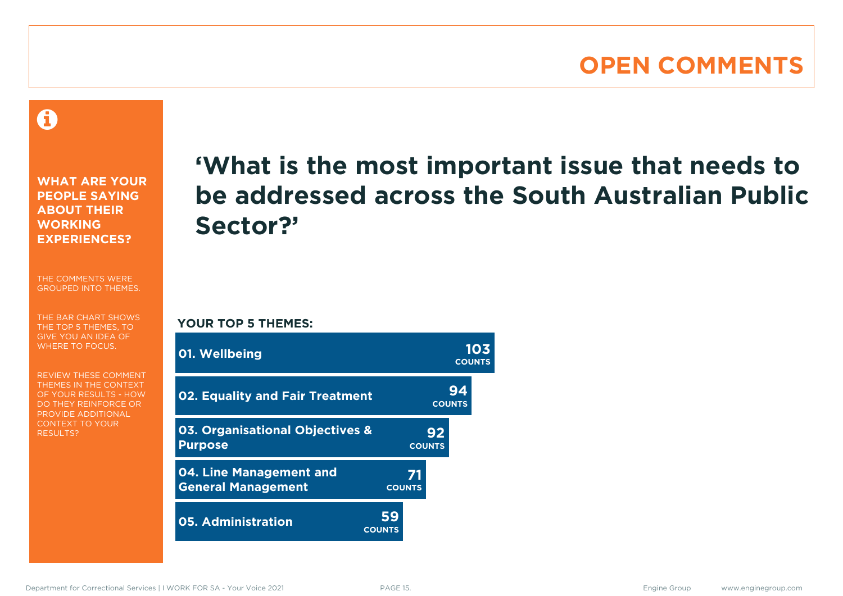#### **OPEN COMMENTS**

A

**WHAT ARE YOUR PEOPLE SAYING ABOUT THEIR WORKING EXPERIENCES?**

THE COMMENTS WERE GROUPED INTO THEMES.

THE BAR CHART SHOWS THE TOP 5 THEMES, TO GIVE YOU AN IDEA OF WHERE TO FOCUS.

REVIEW THESE COMMENT THEMES IN THE CONTEXT OF YOUR RESULTS - HOW DO THEY REINFORCE OR PROVIDE ADDITIONAL CONTEXT TO YOUR **RESULTS?** 

# **'What is the most important issue that needs to be addressed across the South Australian Public Sector?'**

**YOUR TOP 5 THEMES:**

| 01. Wellbeing                                        |                     |                     | <b>COUNTS</b>       | 103 |
|------------------------------------------------------|---------------------|---------------------|---------------------|-----|
| <b>02. Equality and Fair Treatment</b>               |                     |                     | 94<br><b>COUNTS</b> |     |
| 03. Organisational Objectives &<br><b>Purpose</b>    |                     | 92<br><b>COUNTS</b> |                     |     |
| 04. Line Management and<br><b>General Management</b> |                     | 71<br><b>COUNTS</b> |                     |     |
| <b>05. Administration</b>                            | 59<br><b>COUNTS</b> |                     |                     |     |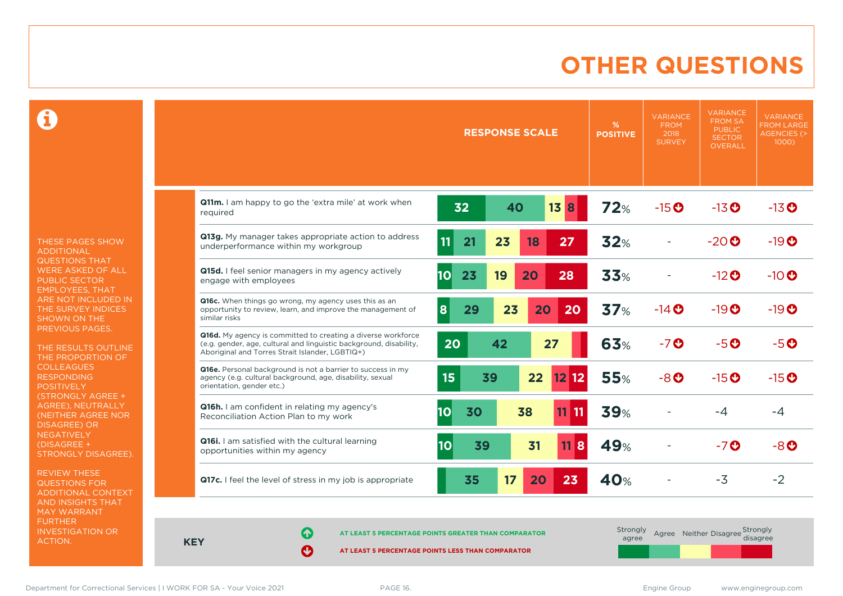### **OTHER QUESTIONS**

0

THESE PAGES SHOW ADDITIONAL QUESTIONS THAT WERE ASKED OF ALL PUBLIC SECTOR EMPLOYEES, THAT ARE NOT INCLUDED IN THE SURVEY INDICES SHOWN ON THE PREVIOUS PAGES.

THE RESULTS OUTLINE THE PROPORTION OF COLLEAGUES RESPONDING POSITIVELY (STRONGLY AGREE + AGREE), NEUTRALLY (NEITHER AGREE NOR DISAGREE) OR **NEGATIVELY** (DISAGREE + STRONGLY DISAGREE).

REVIEW THESE QUESTIONS FOR ADDITIONAL CONTEXT AND INSIGHTS THAT MAY WARRANT FURTHER INVESTIGATION OR ACTION.

|                                                                                                                                                                                       | <b>RESPONSE SCALE</b>                    | %<br><b>POSITIVE</b> | <b>VARIANCE</b><br><b>FROM</b><br>2018<br><b>SURVEY</b> | VARIANCE<br><b>FROM SA</b><br><b>PUBLIC</b><br><b>SECTOR</b><br>OVERALL | <b>VARIANCE</b><br><b>FROM LARGE</b><br><b>AGENCIES (&gt;</b><br>1000) |
|---------------------------------------------------------------------------------------------------------------------------------------------------------------------------------------|------------------------------------------|----------------------|---------------------------------------------------------|-------------------------------------------------------------------------|------------------------------------------------------------------------|
| Q11m. I am happy to go the 'extra mile' at work when<br>reauired                                                                                                                      | 32<br>40<br>13<br>8                      | 72%                  | $-15$ <sup>O</sup>                                      | $-13$ <sup>O</sup>                                                      | $-13$ <sup>O</sup>                                                     |
| Q13g. My manager takes appropriate action to address<br>underperformance within my workgroup                                                                                          | 11<br>21<br>23<br>27<br>18               | <b>32%</b>           |                                                         | $-20$                                                                   | $-19$ <sup>O</sup>                                                     |
| Q15d. I feel senior managers in my agency actively<br>engage with employees                                                                                                           | 10 <br>23<br>19<br>20<br>28              | <b>33%</b>           |                                                         | $-12$ <sup>O</sup>                                                      | $-10$ $\odot$                                                          |
| Q16c. When things go wrong, my agency uses this as an<br>opportunity to review, learn, and improve the management of<br>similar risks                                                 | 23<br>20<br>29<br>20<br>8                | 37%                  | $-14$ <sup>O</sup>                                      | $-19O$                                                                  | $-19$ <sup>O</sup>                                                     |
| Q16d. My agency is committed to creating a diverse workforce<br>(e.g. gender, age, cultural and linguistic background, disability,<br>Aboriginal and Torres Strait Islander, LGBTIQ+) | 20<br>42<br>27                           | <b>63%</b>           | $-7o$                                                   | $-5o$                                                                   | $-5o$                                                                  |
| Q16e. Personal background is not a barrier to success in my<br>agency (e.g. cultural background, age, disability, sexual<br>orientation, gender etc.)                                 | 15<br>$12$ 12<br>39<br>22                | <b>55%</b>           | $-8o$                                                   | $-15$ <sup>O</sup>                                                      | $-15$ <sup>O</sup>                                                     |
| Q16h. I am confident in relating my agency's<br>Reconciliation Action Plan to my work                                                                                                 | 10 <sup>1</sup><br>30<br>38<br>$11$ $11$ | <b>39%</b>           |                                                         | -4                                                                      | -4                                                                     |
| Q16i. I am satisfied with the cultural learning<br>opportunities within my agency                                                                                                     | 10<br>39<br>31<br>8<br>11                | 49%                  |                                                         | -70                                                                     | $-8o$                                                                  |
| Q17c. I feel the level of stress in my job is appropriate                                                                                                                             | 17<br>23<br>35<br>20                     | 40%                  |                                                         | $-3$                                                                    | $-2$                                                                   |

**KEY**

**AT LEAST 5 PERCENTAGE POINTS GREATER THAN COMPARATOR**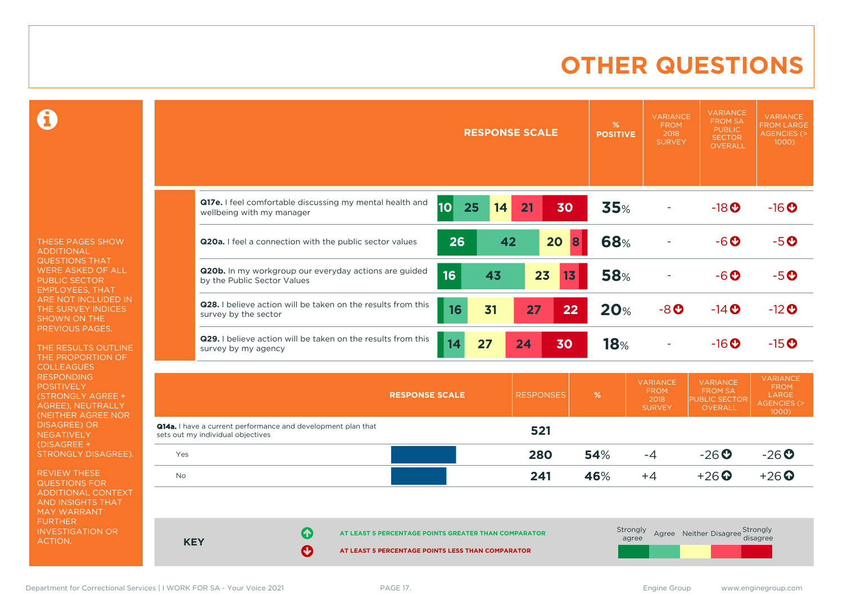### **OTHER QUESTIONS**

0

THESE PAGES SHOW ADDITIONAL QUESTIONS THAT WERE ASKED OF ALL PUBLIC SECTOR EMPLOYEES, THAT ARE NOT INCLUDED IN THE SURVEY INDICES SHOWN ON THE PREVIOUS PAGES.

THE RESULTS OUTLINE THE PROPORTION OF COLLEAGUES RESPONDING POSITIVELY (STRONGLY AGREE + AGREE), NEUTRALLY (NEITHER AGREE NOR DISAGREE) OR **NEGATIVELY** (DISAGREE + STRONGLY DISAGREE).

REVIEW THESE QUESTIONS FOR ADDITIONAL CONTEXT AND INSIGHTS THAT MAY WARRANT FURTHER INVESTIGATION OR ACTION.

|                                                                                       |                 | <b>RESPONSE SCALE</b> | %<br><b>POSITIVE</b> | <b>VARIANCE</b><br><b>FROM</b><br>2018<br><b>SURVEY</b> | <b>VARIANCE</b><br><b>FROM SA</b><br><b>PUBLIC</b><br><b>SECTOR</b><br><b>OVERALL</b> | <b>VARIANCE</b><br><b>FROM LARGE</b><br><b>AGENCIES (&gt;</b><br>1000) |
|---------------------------------------------------------------------------------------|-----------------|-----------------------|----------------------|---------------------------------------------------------|---------------------------------------------------------------------------------------|------------------------------------------------------------------------|
| Q17e. I feel comfortable discussing my mental health and<br>wellbeing with my manager | 10 <br>25<br>14 | 21<br>30              | 35%                  |                                                         | $-18$ <b>O</b>                                                                        | $-16$ <sup>O</sup>                                                     |
| <b>Q20a.</b> I feel a connection with the public sector values                        | 26              | 20<br>42              | <b>68%</b><br>8      |                                                         | $-6o$                                                                                 | $-5o$                                                                  |
| Q20b. In my workgroup our everyday actions are guided<br>by the Public Sector Values  | 16<br>43        | 23<br>13              | <b>58%</b>           |                                                         | $-6o$                                                                                 | $-5o$                                                                  |
| Q28. I believe action will be taken on the results from this<br>survey by the sector  | 31<br>16        | 27<br>22              | <b>20%</b>           | $-8o$                                                   | $-14$ $\odot$                                                                         | $-12$ <sup>O</sup>                                                     |
| Q29. I believe action will be taken on the results from this<br>survey by my agency   | 27<br>14        | 30<br>24              | 18%                  |                                                         | $-16$ <sup>O</sup>                                                                    | $-15$ <sup>O</sup>                                                     |
| <b>RESPONSE SCALE</b>                                                                 |                 | <b>RESPONSES</b>      | %                    | <b>VARIANCE</b><br><b>FROM</b><br>2018                  | <b>VARIANCE</b><br><b>FROM SA</b><br><b>PUBLIC SECTOR</b>                             | <b>VARIANCE</b><br><b>FROM</b><br>LARGE<br>AGENCIES (>                 |

|                                                                                                          | INESPUNSE SUMLE                                      | <b>RESPUNSES</b> | ZO. | 2018<br><b>SURVEY</b> | <b>PUBLIC SECTOR</b><br>OVERALL | LARUL<br>AGENCIES (><br>$1000$ ) |
|----------------------------------------------------------------------------------------------------------|------------------------------------------------------|------------------|-----|-----------------------|---------------------------------|----------------------------------|
| <b>Q14a.</b> I have a current performance and development plan that<br>sets out my individual objectives |                                                      | 521              |     |                       |                                 |                                  |
| Yes                                                                                                      |                                                      | 280              | 54% | $-4$                  | $-26$                           | $-26$                            |
| No                                                                                                       |                                                      | 241              | 46% | $+4$                  | $+26$ $\odot$                   | $+26$ $\odot$                    |
|                                                                                                          |                                                      |                  |     |                       |                                 |                                  |
| 0<br><b>KEY</b><br>$\sim$                                                                                | AT LEAST 5 PERCENTAGE POINTS GREATER THAN COMPARATOR |                  |     | Strongly<br>agree     | Agree Neither Disagree          | Strongly<br>disagree             |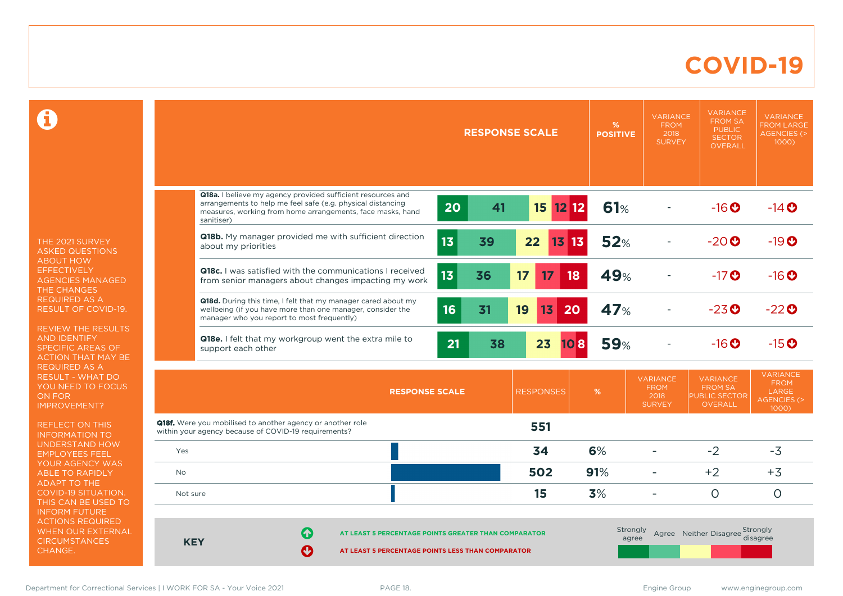#### **COVID-19**

 $\mathbf \Omega$ 

THE 2021 SURVEY ASKED QUESTIONS ABOUT HOW **EFFECTIVELY** AGENCIES MANAGED THE CHANGES REQUIRED AS A RESULT OF COVID-19.

REVIEW THE RESULTS AND IDENTIFY SPECIFIC AREAS OF ACTION THAT MAY BE REQUIRED AS A RESULT - WHAT DO YOU NEED TO FOCUS ON FOR IMPROVEMENT?

REFLECT ON THIS INFORMATION TO UNDERSTAND HOW EMPLOYEES FEEL YOUR AGENCY WAS ABLE TO RAPIDLY ADAPT TO THE COVID-19 SITUATION. THIS CAN BE USED TO INFORM FUTURE ACTIONS REQUIRED WHEN OUR EXTERNAL **CIRCUMSTANCES** CHANGE.

|            |                                                                                                                                                                                                        |                       | <b>RESPONSE SCALE</b> | %<br><b>POSITIVE</b> | <b>VARIANCE</b><br><b>FROM</b><br>2018<br><b>SURVEY</b> | <b>VARIANCE</b><br><b>FROM SA</b><br><b>PUBLIC</b><br><b>SECTOR</b><br><b>OVERALL</b> | <b>VARIANCE</b><br><b>FROM LARGE</b><br><b>AGENCIES (&gt;</b><br>1000)    |
|------------|--------------------------------------------------------------------------------------------------------------------------------------------------------------------------------------------------------|-----------------------|-----------------------|----------------------|---------------------------------------------------------|---------------------------------------------------------------------------------------|---------------------------------------------------------------------------|
|            |                                                                                                                                                                                                        |                       |                       |                      |                                                         |                                                                                       |                                                                           |
|            | Q18a. I believe my agency provided sufficient resources and<br>arrangements to help me feel safe (e.g. physical distancing<br>measures, working from home arrangements, face masks, hand<br>sanitiser) | $\overline{20}$<br>41 | 15<br>$12$ 12         | <b>61%</b>           |                                                         | $-16$ <sup>O</sup>                                                                    | $-14$ <sup>O</sup>                                                        |
|            | Q18b. My manager provided me with sufficient direction<br>about my priorities                                                                                                                          | 13<br>39              | 22<br>$13$ 13         | 52%                  |                                                         | $-20$ <sup>O</sup>                                                                    | $-19O$                                                                    |
|            | <b>Q18c.</b> I was satisfied with the communications I received<br>from senior managers about changes impacting my work                                                                                | 13<br>36              | 17<br>17<br>18        | 49%                  |                                                         | $-17$ <sup>O</sup>                                                                    | $-16$ <sup>O</sup>                                                        |
|            | Q18d. During this time, I felt that my manager cared about my<br>wellbeing (if you have more than one manager, consider the<br>manager who you report to most frequently)                              | 16<br>31              | 19<br>13<br>20        | 47%                  |                                                         | $-23$ <sup>O</sup>                                                                    | $-22$ <sup>O</sup>                                                        |
|            | Q18e. I felt that my workgroup went the extra mile to<br>support each other                                                                                                                            | 21<br>38              | 23<br>108             | <b>59%</b>           |                                                         | $-16$ <sup>O</sup>                                                                    | $-15$ <sup>O</sup>                                                        |
|            | <b>RESPONSE SCALE</b>                                                                                                                                                                                  |                       | <b>RESPONSES</b>      | %                    | <b>VARIANCE</b><br><b>FROM</b><br>2018<br><b>SURVEY</b> | <b>VARIANCE</b><br><b>FROM SA</b><br><b>PUBLIC SECTOR</b><br><b>OVERALL</b>           | <b>VARIANCE</b><br><b>FROM</b><br>LARGE<br><b>AGENCIES (&gt;</b><br>1000) |
|            | <b>Q18f.</b> Were you mobilised to another agency or another role<br>within your agency because of COVID-19 requirements?                                                                              |                       | 551                   |                      |                                                         |                                                                                       |                                                                           |
| Yes        |                                                                                                                                                                                                        |                       | 34                    | 6%                   | $\overline{a}$                                          | $-2$                                                                                  | $-3$                                                                      |
| <b>No</b>  |                                                                                                                                                                                                        |                       | 502                   | 91%                  | $\sim$                                                  | $+2$                                                                                  | $+3$                                                                      |
| Not sure   |                                                                                                                                                                                                        |                       | 15                    | 3%                   | $\blacksquare$                                          | $\overline{O}$                                                                        | $\circ$                                                                   |
| <b>KEY</b> | Œ<br>AT LEAST 5 PERCENTAGE POINTS GREATER THAN COMPARATOR<br>Ø<br>AT LEAST 5 PERCENTAGE POINTS LESS THAN COMPARATOR                                                                                    |                       |                       | Strongly<br>agree    |                                                         | Agree Neither Disagree Strongly                                                       | disagree                                                                  |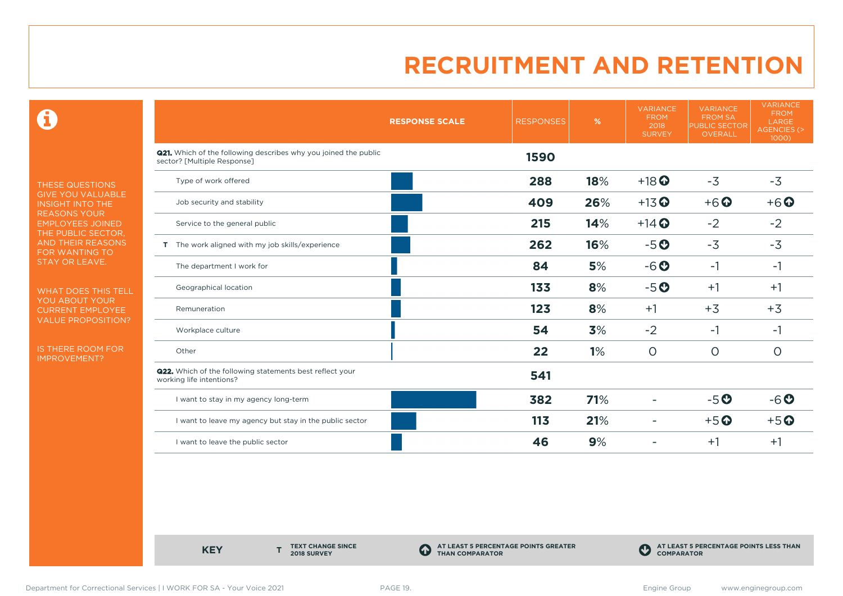0

THESE QUESTIONS GIVE YOU VALUABLE INSIGHT INTO THE REASONS YOUR EMPLOYEES JOINED THE PUBLIC SECTOR, AND THEIR REASONS FOR WANTING TO STAY OR LEAVE.

WHAT DOES THIS TELL YOU ABOUT YOUR CURRENT EMPLOYEE VALUE PROPOSITION?

IS THERE ROOM FOR IMPROVEMENT?

|                                                                                                       | <b>RESPONSE SCALE</b> | <b>RESPONSES</b> | %   | <b>VARIANCE</b><br><b>FROM</b><br>2018<br><b>SURVEY</b> | <b>VARIANCE</b><br><b>FROM SA</b><br>PUBLIC SECTOR<br><b>OVERALL</b> | <b>VARIANCE</b><br><b>FROM</b><br>LARGE<br>AGENCIES (><br>1000) |
|-------------------------------------------------------------------------------------------------------|-----------------------|------------------|-----|---------------------------------------------------------|----------------------------------------------------------------------|-----------------------------------------------------------------|
| <b>Q21.</b> Which of the following describes why you joined the public<br>sector? [Multiple Response] |                       | 1590             |     |                                                         |                                                                      |                                                                 |
| Type of work offered                                                                                  |                       | 288              | 18% | $+18$ <sup>O</sup>                                      | $-3$                                                                 | $-3$                                                            |
| Job security and stability                                                                            |                       | 409              | 26% | $+13$ <sup>O</sup>                                      | $+6$ <sup>O</sup>                                                    | $+6$ $\odot$                                                    |
| Service to the general public                                                                         |                       | 215              | 14% | $+14$ <sup>O</sup>                                      | $-2$                                                                 | $-2$                                                            |
| T The work aligned with my job skills/experience                                                      |                       | 262              | 16% | $-5o$                                                   | $-3$                                                                 | $-3$                                                            |
| The department I work for                                                                             |                       | 84               | 5%  | $-6o$                                                   | $-1$                                                                 | $-1$                                                            |
| Geographical location                                                                                 |                       | 133              | 8%  | $-5o$                                                   | $+1$                                                                 | $+1$                                                            |
| Remuneration                                                                                          |                       | 123              | 8%  | $+1$                                                    | $+3$                                                                 | $+3$                                                            |
| Workplace culture                                                                                     |                       | 54               | 3%  | $-2$                                                    | $-1$                                                                 | $-1$                                                            |
| Other                                                                                                 |                       | 22               | 1%  | $\circ$                                                 | $\circ$                                                              | $\circ$                                                         |
| Q22. Which of the following statements best reflect your<br>working life intentions?                  |                       | 541              |     |                                                         |                                                                      |                                                                 |
| I want to stay in my agency long-term                                                                 |                       | 382              | 71% |                                                         | $-5o$                                                                | $-6o$                                                           |
| I want to leave my agency but stay in the public sector                                               |                       | 113              | 21% |                                                         | $+5$ <sup>O</sup>                                                    | $+5$ <sup>O</sup>                                               |
| I want to leave the public sector                                                                     |                       | 46               | 9%  |                                                         | $+1$                                                                 | $+1$                                                            |

**KEY** 

**TEXT CHANGE SINCE 2018 SURVEY**

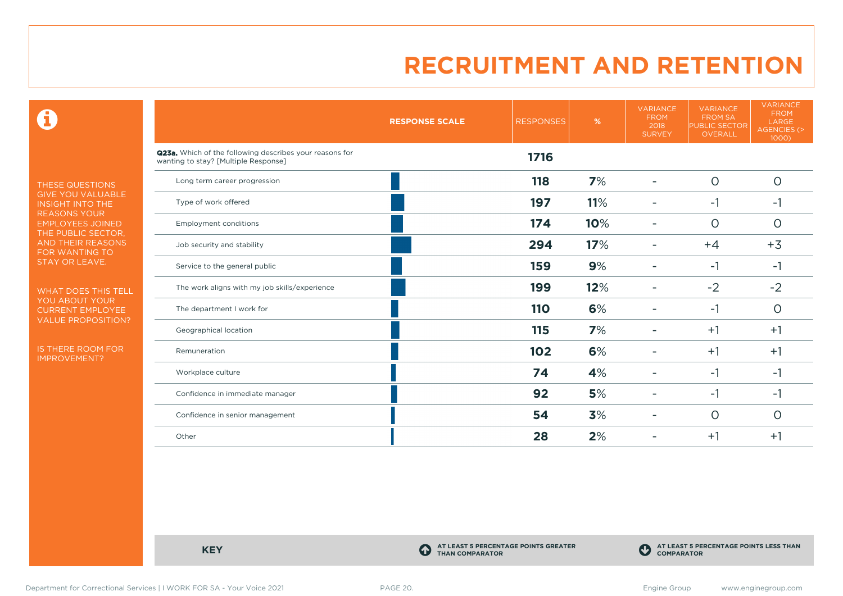$\mathbf \Theta$ 

THESE QUESTIONS GIVE YOU VALUABLE INSIGHT INTO THE REASONS YOUR EMPLOYEES JOINED THE PUBLIC SECTOR, AND THEIR REASONS FOR WANTING TO STAY OR LEAVE.

WHAT DOES THIS TELL YOU ABOUT YOUR CURRENT EMPLOYEE VALUE PROPOSITION?

IS THERE ROOM FOR IMPROVEMENT?

|                                                                                                 | <b>RESPONSE SCALE</b> | <b>RESPONSES</b> | %   | <b>VARIANCE</b><br><b>FROM</b><br>2018<br><b>SURVEY</b> | <b>VARIANCE</b><br><b>FROM SA</b><br><b>PUBLIC SECTOR</b><br><b>OVERALL</b> | <b>VARIANCE</b><br><b>FROM</b><br>LARGE<br>AGENCIES (><br>1000) |
|-------------------------------------------------------------------------------------------------|-----------------------|------------------|-----|---------------------------------------------------------|-----------------------------------------------------------------------------|-----------------------------------------------------------------|
| Q23a. Which of the following describes your reasons for<br>wanting to stay? [Multiple Response] |                       | 1716             |     |                                                         |                                                                             |                                                                 |
| Long term career progression                                                                    |                       | 118              | 7%  |                                                         | $\circ$                                                                     | $\circ$                                                         |
| Type of work offered                                                                            |                       | 197              | 11% |                                                         | $-1$                                                                        | $-1$                                                            |
| <b>Employment conditions</b>                                                                    |                       | 174              | 10% |                                                         | $\circ$                                                                     | $\circ$                                                         |
| Job security and stability                                                                      |                       | 294              | 17% |                                                         | $+4$                                                                        | $+3$                                                            |
| Service to the general public                                                                   |                       | 159              | 9%  |                                                         | $-1$                                                                        | $-1$                                                            |
| The work aligns with my job skills/experience                                                   |                       | 199              | 12% |                                                         | $-2$                                                                        | $-2$                                                            |
| The department I work for                                                                       |                       | <b>110</b>       | 6%  |                                                         | $-1$                                                                        | $\circ$                                                         |
| Geographical location                                                                           |                       | 115              | 7%  |                                                         | $+1$                                                                        | $+1$                                                            |
| Remuneration                                                                                    |                       | 102              | 6%  |                                                         | $+1$                                                                        | $+1$                                                            |
| Workplace culture                                                                               |                       | 74               | 4%  |                                                         | $-1$                                                                        | $-1$                                                            |
| Confidence in immediate manager                                                                 |                       | 92               | 5%  |                                                         | $-1$                                                                        | $-1$                                                            |
| Confidence in senior management                                                                 |                       | 54               | 3%  |                                                         | $\Omega$                                                                    | $\circ$                                                         |
| Other                                                                                           |                       | 28               | 2%  |                                                         | $+1$                                                                        | $+1$                                                            |

**KEY C** 

**AT LEAST 5 PERCENTAGE POINTS GREATER THAN COMPARATOR**



Department for Correctional Services | I WORK FOR SA - Your Voice 2021 PAGE 20. example a particular states and the states of the states of the PAGE 20.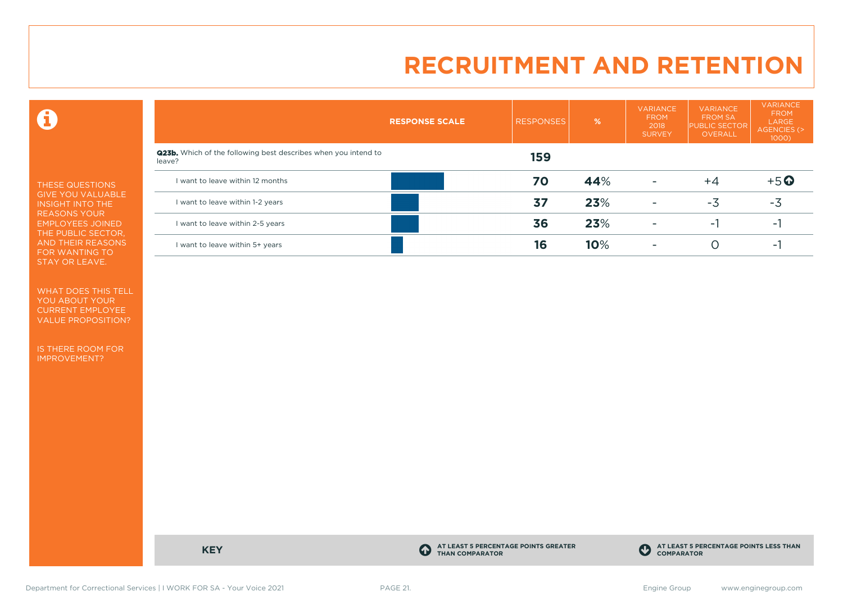$\mathbf \Theta$ 

THESE QUESTIONS GIVE YOU VALUABLE INSIGHT INTO THE REASONS YOUR EMPLOYEES JOINED THE PUBLIC SECTOR, AND THEIR REASONS FOR WANTING TO STAY OR LEAVE.

WHAT DOES THIS TELL YOU ABOUT YOUR CURRENT EMPLOYEE VALUE PROPOSITION?

IS THERE ROOM FOR IMPROVEMENT?

|                                                                                 | <b>RESPONSE SCALE</b> | <b>RESPONSES</b> | %   | <b>VARIANCE</b><br><b>FROM</b><br>2018<br><b>SURVEY</b> | <b>VARIANCE</b><br><b>FROM SA</b><br><b>PUBLIC SECTOR</b><br>OVERALL | <b>VARIANCE</b><br><b>FROM</b><br>LARGE<br>AGENCIES (><br>$1000$ ) |  |
|---------------------------------------------------------------------------------|-----------------------|------------------|-----|---------------------------------------------------------|----------------------------------------------------------------------|--------------------------------------------------------------------|--|
| <b>Q23b.</b> Which of the following best describes when you intend to<br>leave? |                       | 159              |     |                                                         |                                                                      |                                                                    |  |
| I want to leave within 12 months                                                |                       | 70               | 44% | $\overline{\phantom{a}}$                                | $+4$                                                                 | $+5$ <sup>O</sup>                                                  |  |
| I want to leave within 1-2 years                                                |                       | 37               | 23% | $\overline{\phantom{a}}$                                | $-3$                                                                 | $-3$                                                               |  |
| I want to leave within 2-5 years                                                |                       | 36               | 23% | ۰                                                       | ۰.                                                                   |                                                                    |  |
| I want to leave within 5+ years                                                 |                       | 16               | 10% | ۰                                                       |                                                                      | $\overline{\phantom{a}}$                                           |  |

**KEY C** 

**AT LEAST 5 PERCENTAGE POINTS GREATER THAN COMPARATOR**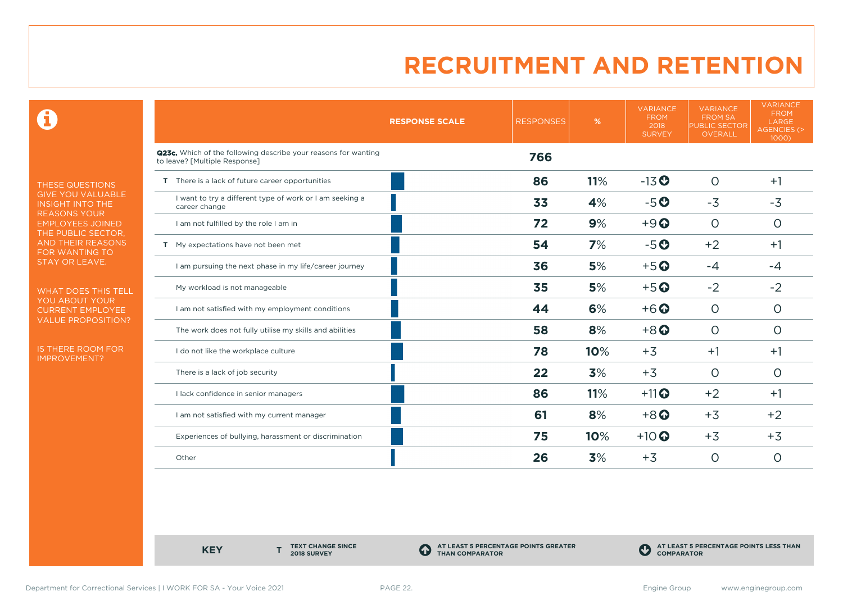0

THESE QUESTIONS GIVE YOU VALUABLE INSIGHT INTO THE REASONS YOUR EMPLOYEES JOINED THE PUBLIC SECTOR, AND THEIR REASONS FOR WANTING TO STAY OR LEAVE.

WHAT DOES THIS TELL YOU ABOUT YOUR CURRENT EMPLOYEE VALUE PROPOSITION?

IS THERE ROOM FOR IMPROVEMENT?

|                                                                                                 | <b>RESPONSE SCALE</b> | <b>RESPONSES</b> | %   | <b>VARIANCE</b><br><b>FROM</b><br>2018<br><b>SURVEY</b> | <b>VARIANCE</b><br><b>FROM SA</b><br><b>PUBLIC SECTOR</b><br>OVERALL | <b>VARIANCE</b><br><b>FROM</b><br>LARGE<br><b>AGENCIES (&gt;</b><br>1000) |
|-------------------------------------------------------------------------------------------------|-----------------------|------------------|-----|---------------------------------------------------------|----------------------------------------------------------------------|---------------------------------------------------------------------------|
| Q23c. Which of the following describe your reasons for wanting<br>to leave? [Multiple Response] |                       | 766              |     |                                                         |                                                                      |                                                                           |
| T There is a lack of future career opportunities                                                |                       | 86               | 11% | $-13$ <sup>O</sup>                                      | $\circ$                                                              | $+1$                                                                      |
| I want to try a different type of work or I am seeking a<br>career change                       |                       | 33               | 4%  | $-5o$                                                   | $-3$                                                                 | $-3$                                                                      |
| I am not fulfilled by the role I am in                                                          |                       | 72               | 9%  | $+9$ <sup><math>\odot</math></sup>                      | $\circ$                                                              | O                                                                         |
| T My expectations have not been met                                                             |                       | 54               | 7%  | $-5o$                                                   | $+2$                                                                 | $+1$                                                                      |
| I am pursuing the next phase in my life/career journey                                          |                       | 36               | 5%  | $+5$ <sup>O</sup>                                       | $-4$                                                                 | $-4$                                                                      |
| My workload is not manageable                                                                   |                       | 35               | 5%  | $+5$ <sup>O</sup>                                       | $-2$                                                                 | $-2$                                                                      |
| I am not satisfied with my employment conditions                                                |                       | 44               | 6%  | $+6$ <sup>O</sup>                                       | $\circ$                                                              | $\circ$                                                                   |
| The work does not fully utilise my skills and abilities                                         |                       | 58               | 8%  | $+8$ <sup>O</sup>                                       | $\circ$                                                              | $\circ$                                                                   |
| I do not like the workplace culture                                                             |                       | 78               | 10% | $+3$                                                    | $+1$                                                                 | $+1$                                                                      |
| There is a lack of job security                                                                 |                       | 22               | 3%  | $+3$                                                    | $\circ$                                                              | $\circ$                                                                   |
| I lack confidence in senior managers                                                            |                       | 86               | 11% | $+11$ <sup>O</sup>                                      | $+2$                                                                 | $+1$                                                                      |
| I am not satisfied with my current manager                                                      |                       | 61               | 8%  | $+8$ <sup>O</sup>                                       | $+3$                                                                 | $+2$                                                                      |
| Experiences of bullying, harassment or discrimination                                           |                       | 75               | 10% | $+10$                                                   | $+3$                                                                 | $+3$                                                                      |
| Other                                                                                           |                       | 26               | 3%  | $+3$                                                    | $\circ$                                                              | O                                                                         |

**KEY** 

**TEXT CHANGE SINCE 2018 SURVEY**

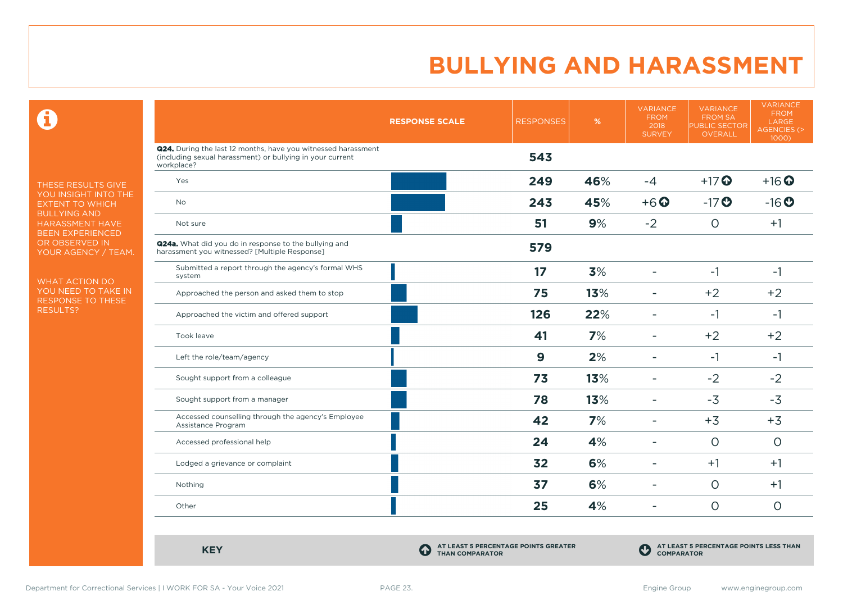$\mathbf \Theta$ 

THESE RESULTS GIVE YOU INSIGHT INTO THE EXTENT TO WHICH BULLYING AND HARASSMENT HAVE BEEN EXPERIENCED OR OBSERVED IN YOUR AGENCY / TEAM.

WHAT ACTION DO YOU NEED TO TAKE IN RESPONSE TO THESE RESULTS?

|                                                                                                                                                 | <b>RESPONSE SCALE</b> | <b>RESPONSES</b> | %   | <b>VARIANCE</b><br><b>FROM</b><br>2018<br><b>SURVEY</b> | <b>VARIANCE</b><br><b>FROM SA</b><br><b>PUBLIC SECTOR</b><br><b>OVERALL</b> | <b>VARIANCE</b><br><b>FROM</b><br><b>LARGE</b><br>AGENCIES (><br>1000) |
|-------------------------------------------------------------------------------------------------------------------------------------------------|-----------------------|------------------|-----|---------------------------------------------------------|-----------------------------------------------------------------------------|------------------------------------------------------------------------|
| <b>Q24.</b> During the last 12 months, have you witnessed harassment<br>(including sexual harassment) or bullying in your current<br>workplace? |                       | 543              |     |                                                         |                                                                             |                                                                        |
| Yes                                                                                                                                             |                       | 249              | 46% | $-4$                                                    | $+17$ <sup>O</sup>                                                          | $+16$ <sup>O</sup>                                                     |
| <b>No</b>                                                                                                                                       |                       | 243              | 45% | $+6$ <sup>O</sup>                                       | $-17$                                                                       | $-16o$                                                                 |
| Not sure                                                                                                                                        |                       | 51               | 9%  | $-2$                                                    | $\circ$                                                                     | $+1$                                                                   |
| <b>Q24a.</b> What did you do in response to the bullying and<br>harassment you witnessed? [Multiple Response]                                   |                       | 579              |     |                                                         |                                                                             |                                                                        |
| Submitted a report through the agency's formal WHS<br>system                                                                                    |                       | 17               | 3%  | ۰                                                       | $-1$                                                                        | $-1$                                                                   |
| Approached the person and asked them to stop                                                                                                    |                       | 75               | 13% | ۰                                                       | $+2$                                                                        | $+2$                                                                   |
| Approached the victim and offered support                                                                                                       |                       | 126              | 22% | ÷                                                       | $-1$                                                                        | $-1$                                                                   |
| Took leave                                                                                                                                      |                       | 41               | 7%  | ÷                                                       | $+2$                                                                        | $+2$                                                                   |
| Left the role/team/agency                                                                                                                       |                       | $\boldsymbol{9}$ | 2%  | ۰                                                       | $-1$                                                                        | $-1$                                                                   |
| Sought support from a colleague                                                                                                                 |                       | 73               | 13% |                                                         | $-2$                                                                        | $-2$                                                                   |
| Sought support from a manager                                                                                                                   |                       | 78               | 13% | ۰                                                       | $-3$                                                                        | $-3$                                                                   |
| Accessed counselling through the agency's Employee<br>Assistance Program                                                                        |                       | 42               | 7%  | ÷                                                       | $+3$                                                                        | $+3$                                                                   |
| Accessed professional help                                                                                                                      |                       | 24               | 4%  | ۰                                                       | $\circ$                                                                     | $\circ$                                                                |
| Lodged a grievance or complaint                                                                                                                 |                       | 32               | 6%  | ۳                                                       | $+1$                                                                        | $+1$                                                                   |
| Nothing                                                                                                                                         |                       | 37               | 6%  | $\sim$                                                  | $\circ$                                                                     | $+1$                                                                   |
| Other                                                                                                                                           |                       | 25               | 4%  | ۰                                                       | $\circ$                                                                     | $\circ$                                                                |

**KEY C** 

**AT LEAST 5 PERCENTAGE POINTS GREATER THAN COMPARATOR**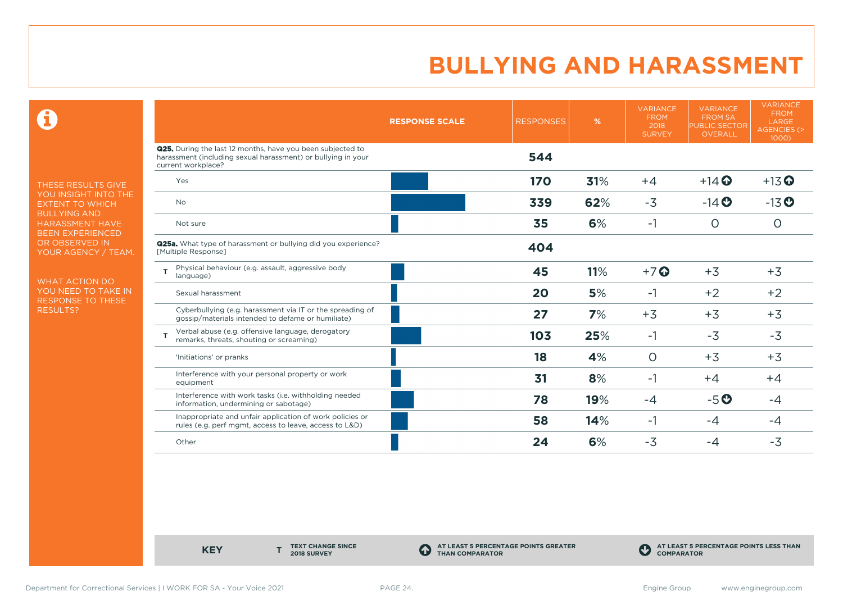$\mathbf \Theta$ 

THESE RESULTS GIVE YOU INSIGHT INTO THE EXTENT TO WHICH BULLYING AND HARASSMENT HAVE BEEN EXPERIENCED OR OBSERVED IN YOUR AGENCY / TEAM.

WHAT ACTION DO YOU NEED TO TAKE IN RESPONSE TO THESE RESULTS?

|                                                                                                                                                         | <b>RESPONSE SCALE</b> | <b>RESPONSES</b> | %   | <b>VARIANCE</b><br><b>FROM</b><br>2018<br><b>SURVEY</b> | <b>VARIANCE</b><br><b>FROM SA</b><br><b>PUBLIC SECTOR</b><br><b>OVERALL</b> | <b>VARIANCE</b><br><b>FROM</b><br>LARGE<br><b>AGENCIES (&gt;</b><br>1000) |
|---------------------------------------------------------------------------------------------------------------------------------------------------------|-----------------------|------------------|-----|---------------------------------------------------------|-----------------------------------------------------------------------------|---------------------------------------------------------------------------|
| <b>Q25.</b> During the last 12 months, have you been subjected to<br>harassment (including sexual harassment) or bullying in your<br>current workplace? |                       | 544              |     |                                                         |                                                                             |                                                                           |
| Yes                                                                                                                                                     |                       | 170              | 31% | $+4$                                                    | $+14$ $\odot$                                                               | $+13$ <sup>O</sup>                                                        |
| <b>No</b>                                                                                                                                               |                       | 339              | 62% | $-3$                                                    | $-14$ <b>O</b>                                                              | $-13$ <sup>O</sup>                                                        |
| Not sure                                                                                                                                                |                       | 35               | 6%  | $-1$                                                    | $\circ$                                                                     | $\circ$                                                                   |
| <b>Q25a.</b> What type of harassment or bullying did you experience?<br>[Multiple Response]                                                             |                       | 404              |     |                                                         |                                                                             |                                                                           |
| Physical behaviour (e.g. assault, aggressive body<br>language)                                                                                          |                       | 45               | 11% | $+7$ $\odot$                                            | $+3$                                                                        | $+3$                                                                      |
| Sexual harassment                                                                                                                                       |                       | 20               | 5%  | $-1$                                                    | $+2$                                                                        | $+2$                                                                      |
| Cyberbullying (e.g. harassment via IT or the spreading of<br>gossip/materials intended to defame or humiliate)                                          |                       | 27               | 7%  | $+3$                                                    | $+3$                                                                        | $+3$                                                                      |
| Verbal abuse (e.g. offensive language, derogatory<br>remarks, threats, shouting or screaming)                                                           |                       | 103              | 25% | $-1$                                                    | $-3$                                                                        | $-3$                                                                      |
| 'Initiations' or pranks                                                                                                                                 |                       | 18               | 4%  | $\circ$                                                 | $+3$                                                                        | $+3$                                                                      |
| Interference with your personal property or work<br>equipment                                                                                           |                       | 31               | 8%  | $-1$                                                    | $+4$                                                                        | $+4$                                                                      |
| Interference with work tasks (i.e. withholding needed<br>information, undermining or sabotage)                                                          |                       | 78               | 19% | -4                                                      | $-5o$                                                                       | -4                                                                        |
| Inappropriate and unfair application of work policies or<br>rules (e.g. perf mgmt, access to leave, access to L&D)                                      |                       | 58               | 14% | $-1$                                                    | $-4$                                                                        | -4                                                                        |
| Other                                                                                                                                                   |                       | 24               | 6%  | $-3$                                                    | -4                                                                          | $-3$                                                                      |

**KEY** 

**TEXT CHANGE SINCE 2018 SURVEY**

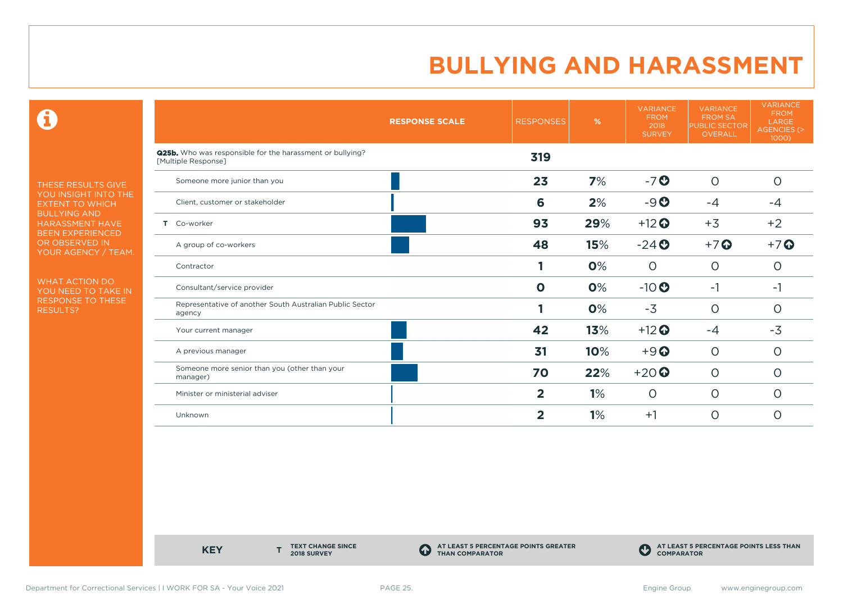$\mathbf \Theta$ 

THESE RESULTS GIVE YOU INSIGHT INTO THE EXTENT TO WHICH BULLYING AND HARASSMENT HAVE BEEN EXPERIENCED OR OBSERVED IN YOUR AGENCY / TEAM.

WHAT ACTION DO YOU NEED TO TAKE IN RESPONSE TO THESE RESULTS?

|                                                                                  | <b>RESPONSE SCALE</b> | <b>RESPONSES</b> | %   | <b>VARIANCE</b><br><b>FROM</b><br>2018<br><b>SURVEY</b> | <b>VARIANCE</b><br><b>FROM SA</b><br><b>PUBLIC SECTOR</b><br><b>OVERALL</b> | <b>VARIANCE</b><br><b>FROM</b><br>LARGE<br><b>AGENCIES (&gt;</b><br>1000) |
|----------------------------------------------------------------------------------|-----------------------|------------------|-----|---------------------------------------------------------|-----------------------------------------------------------------------------|---------------------------------------------------------------------------|
| Q25b. Who was responsible for the harassment or bullying?<br>[Multiple Response] |                       | 319              |     |                                                         |                                                                             |                                                                           |
| Someone more junior than you                                                     |                       | 23               | 7%  | $-7o$                                                   | $\circ$                                                                     | $\Omega$                                                                  |
| Client, customer or stakeholder                                                  |                       | 6                | 2%  | $-9o$                                                   | $-4$                                                                        | -4                                                                        |
| T Co-worker                                                                      |                       | 93               | 29% | $+12$ <sup>O</sup>                                      | $+3$                                                                        | $+2$                                                                      |
| A group of co-workers                                                            |                       | 48               | 15% | $-24$ <sup>O</sup>                                      | $+7$ $\odot$                                                                | $+7$ $\odot$                                                              |
| Contractor                                                                       |                       |                  | 0%  | $\circ$                                                 | $\circ$                                                                     | 0                                                                         |
| Consultant/service provider                                                      |                       | $\mathbf 0$      | 0%  | $-10$                                                   | $-1$                                                                        | $-1$                                                                      |
| Representative of another South Australian Public Sector<br>agency               |                       |                  | 0%  | $-3$                                                    | $\circ$                                                                     | $\circ$                                                                   |
| Your current manager                                                             |                       | 42               | 13% | $+12$ <sup>O</sup>                                      | $-4$                                                                        | $-3$                                                                      |
| A previous manager                                                               |                       | 31               | 10% | $+9$ <sup><math>\odot</math></sup>                      | $\circ$                                                                     | $\circ$                                                                   |
| Someone more senior than you (other than your<br>manager)                        |                       | 70               | 22% | $+20$                                                   | $\circ$                                                                     | $\Omega$                                                                  |
| Minister or ministerial adviser                                                  |                       | 2                | 1%  | $\circ$                                                 | $\circ$                                                                     | O                                                                         |
| Unknown                                                                          |                       | 2                | 1%  | $+1$                                                    | $\circ$                                                                     | O                                                                         |

**KEY** 

**TEXT CHANGE SINCE 2018 SURVEY**

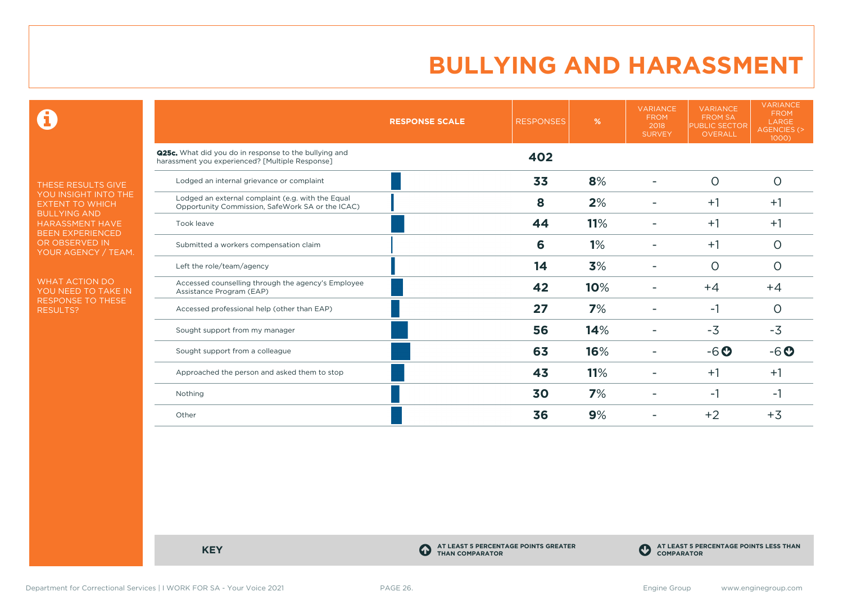$\mathbf \Theta$ 

THESE RESULTS GIVE YOU INSIGHT INTO THE EXTENT TO WHICH BULLYING AND HARASSMENT HAVE BEEN EXPERIENCED OR OBSERVED IN YOUR AGENCY / TEAM.

WHAT ACTION DO YOU NEED TO TAKE IN RESPONSE TO THESE RESULTS?

|                                                                                                          | <b>RESPONSE SCALE</b> | <b>RESPONSES</b> | %   | <b>VARIANCE</b><br><b>FROM</b><br>2018<br><b>SURVEY</b> | <b>VARIANCE</b><br><b>FROM SA</b><br><b>PUBLIC SECTOR</b><br>OVERALL | <b>VARIANCE</b><br><b>FROM</b><br>LARGE<br><b>AGENCIES (&gt;</b><br>1000) |
|----------------------------------------------------------------------------------------------------------|-----------------------|------------------|-----|---------------------------------------------------------|----------------------------------------------------------------------|---------------------------------------------------------------------------|
| Q25c. What did you do in response to the bullying and<br>harassment you experienced? [Multiple Response] |                       | 402              |     |                                                         |                                                                      |                                                                           |
| Lodged an internal grievance or complaint                                                                |                       | 33               | 8%  |                                                         | $\circ$                                                              | $\circ$                                                                   |
| Lodged an external complaint (e.g. with the Equal<br>Opportunity Commission, SafeWork SA or the ICAC)    |                       | 8                | 2%  |                                                         | $+1$                                                                 | $+1$                                                                      |
| Took leave                                                                                               |                       | 44               | 11% |                                                         | $+1$                                                                 | $+1$                                                                      |
| Submitted a workers compensation claim                                                                   |                       | 6                | 1%  |                                                         | $+1$                                                                 | O                                                                         |
| Left the role/team/agency                                                                                |                       | 14               | 3%  |                                                         | $\circ$                                                              | O                                                                         |
| Accessed counselling through the agency's Employee<br>Assistance Program (EAP)                           |                       | 42               | 10% |                                                         | $+4$                                                                 | $+4$                                                                      |
| Accessed professional help (other than EAP)                                                              |                       | 27               | 7%  |                                                         | $-1$                                                                 | $\circ$                                                                   |
| Sought support from my manager                                                                           |                       | 56               | 14% |                                                         | $-3$                                                                 | $-3$                                                                      |
| Sought support from a colleague                                                                          |                       | 63               | 16% |                                                         | $-6o$                                                                | $-6o$                                                                     |
| Approached the person and asked them to stop                                                             |                       | 43               | 11% |                                                         | $+1$                                                                 | $+1$                                                                      |
| Nothing                                                                                                  |                       | 30               | 7%  |                                                         | -1                                                                   | -1                                                                        |
| Other                                                                                                    |                       | 36               | 9%  |                                                         | $+2$                                                                 | $+3$                                                                      |

**KEY C** 

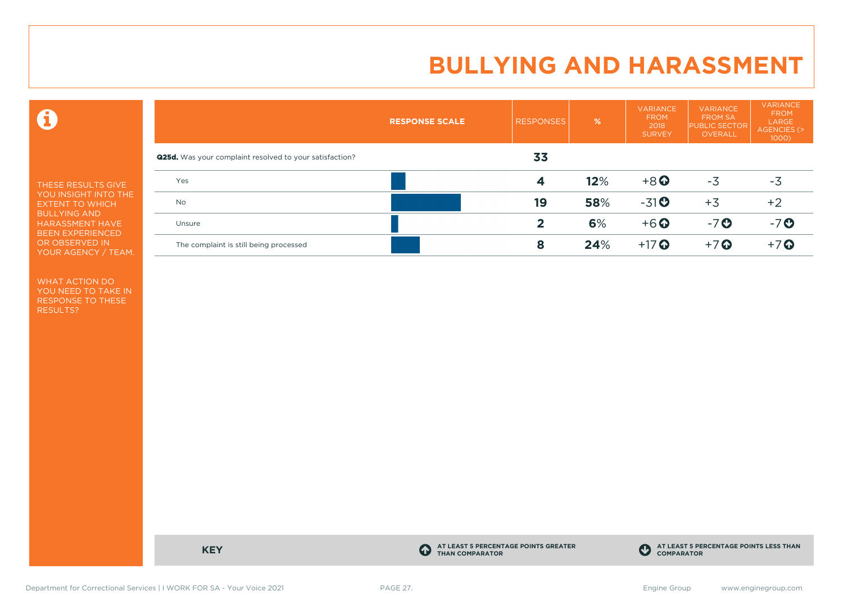$\mathbf \Theta$ 

THESE RESULTS GIVE YOU INSIGHT INTO THE EXTENT TO WHICH BULLYING AND HARASSMENT HAVE BEEN EXPERIENCED OR OBSERVED IN YOUR AGENCY / TEAM.

WHAT ACTION DO YOU NEED TO TAKE IN RESPONSE TO THESE RESULTS?

|                                                                | <b>RESPONSE SCALE</b> | <b>RESPONSES</b> | %   | <b>VARIANCE</b><br><b>FROM</b><br>2018<br><b>SURVEY</b> | <b>VARIANCE</b><br><b>FROM SA</b><br><b>PUBLIC SECTOR</b><br>OVERALL | <b>VARIANCE</b><br><b>FROM</b><br>LARGE<br>AGENCIES (><br>$1000$ ) |
|----------------------------------------------------------------|-----------------------|------------------|-----|---------------------------------------------------------|----------------------------------------------------------------------|--------------------------------------------------------------------|
| <b>Q25d.</b> Was your complaint resolved to your satisfaction? |                       | 33               |     |                                                         |                                                                      |                                                                    |
| Yes                                                            |                       | 4                | 12% | $+8$ <sup>O</sup>                                       | $-3$                                                                 | $-3$                                                               |
| <b>No</b>                                                      |                       | 19               | 58% | $-31$ <sup>O</sup>                                      | $+3$                                                                 | $+2$                                                               |
| Unsure                                                         |                       | 2                | 6%  | $+6$ <sup>O</sup>                                       | $-7o$                                                                | $-7o$                                                              |
| The complaint is still being processed                         |                       | 8                | 24% | $+17$ $\odot$                                           | $+7$ $\odot$                                                         | $+7$ $\odot$                                                       |

**KEY C** 

**AT LEAST 5 PERCENTAGE POINTS GREATER THAN COMPARATOR**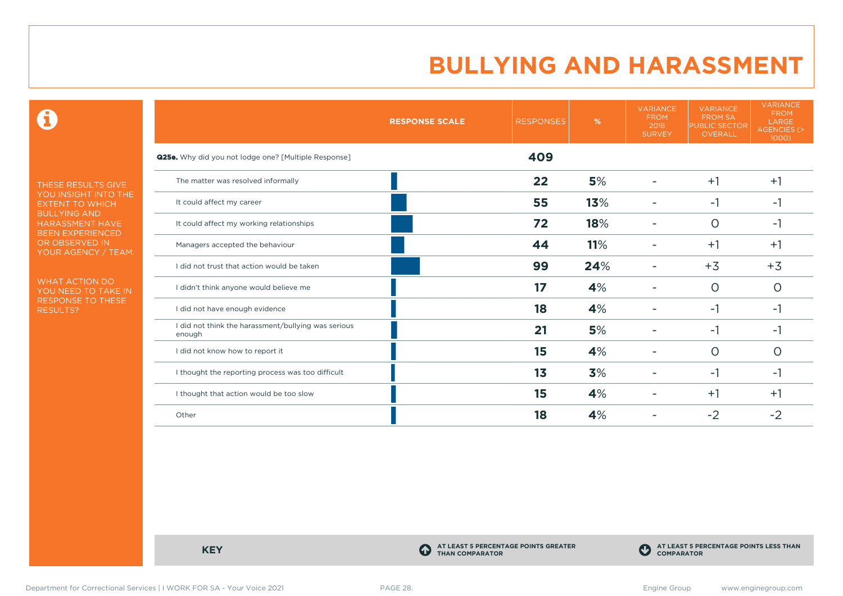$\mathbf \Theta$ 

THESE RESULTS GIVE YOU INSIGHT INTO THE EXTENT TO WHICH BULLYING AND HARASSMENT HAVE BEEN EXPERIENCED OR OBSERVED IN YOUR AGENCY / TEAM.

WHAT ACTION DO YOU NEED TO TAKE IN RESPONSE TO THESE RESULTS?

|                                                               | <b>RESPONSE SCALE</b> | <b>RESPONSES</b> | %   | <b>VARIANCE</b><br><b>FROM</b><br>2018<br><b>SURVEY</b> | <b>VARIANCE</b><br><b>FROM SA</b><br>PUBLIC SECTOR<br><b>OVERALL</b> | <b>VARIANCE</b><br><b>FROM</b><br>LARGE<br><b>AGENCIES (&gt;</b><br>1000) |
|---------------------------------------------------------------|-----------------------|------------------|-----|---------------------------------------------------------|----------------------------------------------------------------------|---------------------------------------------------------------------------|
| <b>Q25e.</b> Why did you not lodge one? [Multiple Response]   |                       | 409              |     |                                                         |                                                                      |                                                                           |
| The matter was resolved informally                            |                       | 22               | 5%  |                                                         | $+1$                                                                 | $+1$                                                                      |
| It could affect my career                                     |                       | 55               | 13% |                                                         | $-1$                                                                 | -1                                                                        |
| It could affect my working relationships                      |                       | 72               | 18% |                                                         | $\Omega$                                                             | $-1$                                                                      |
| Managers accepted the behaviour                               |                       | 44               | 11% |                                                         | $+1$                                                                 | $+1$                                                                      |
| I did not trust that action would be taken                    |                       | 99               | 24% |                                                         | $+3$                                                                 | $+3$                                                                      |
| I didn't think anyone would believe me                        |                       | 17               | 4%  |                                                         | $\circ$                                                              | $\circ$                                                                   |
| I did not have enough evidence                                |                       | 18               | 4%  |                                                         | $-1$                                                                 | -1                                                                        |
| I did not think the harassment/bullying was serious<br>enough |                       | 21               | 5%  |                                                         | -1                                                                   | -1                                                                        |
| I did not know how to report it                               |                       | 15               | 4%  |                                                         | $\Omega$                                                             | $\Omega$                                                                  |
| I thought the reporting process was too difficult             |                       | 13               | 3%  |                                                         | -1                                                                   | -1                                                                        |
| I thought that action would be too slow                       |                       | 15               | 4%  |                                                         | $+1$                                                                 | $+1$                                                                      |
| Other                                                         |                       | 18               | 4%  |                                                         | $-2$                                                                 | $-2$                                                                      |

**KEY C** 

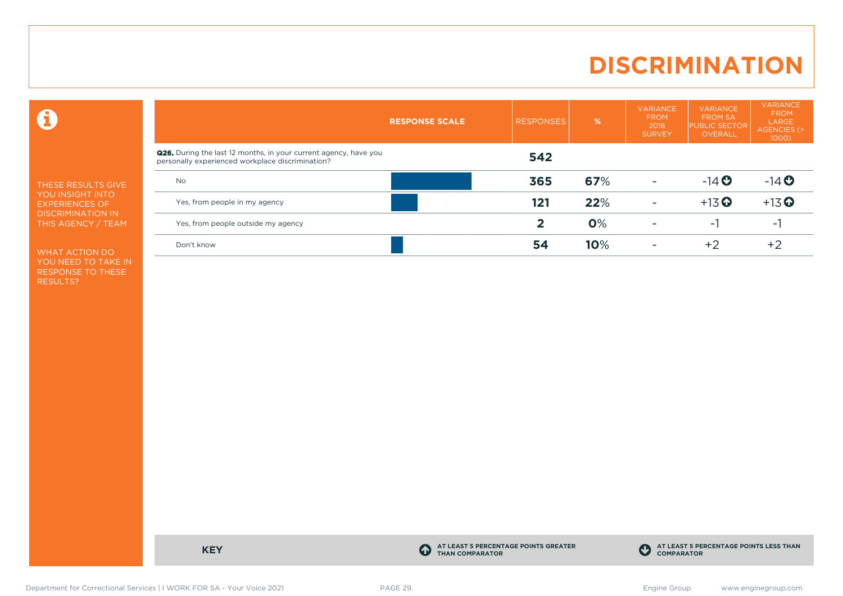# **DISCRIMINATION**

 $\mathbf \Theta$ 

THESE RESULTS GIVE YOU INSIGHT INTO EXPERIENCES OF DISCRIMINATION IN THIS AGENCY / TEAM

WHAT ACTION DO YOU NEED TO TAKE IN RESPONSE TO THESE RESULTS?

|                                                                                                                      | <b>RESPONSE SCALE</b> | <b>RESPONSES</b> | $\frac{9}{6}$ | <b>VARIANCE</b><br><b>FROM</b><br>2018<br><b>SURVEY</b> | <b>VARIANCE</b><br><b>FROM SA</b><br><b>PUBLIC SECTOR</b><br>OVERALL | <b>VARIANCE</b><br><b>FROM</b><br>LARGE<br><b>AGENCIES (&gt;</b><br>$1000$ ) |  |
|----------------------------------------------------------------------------------------------------------------------|-----------------------|------------------|---------------|---------------------------------------------------------|----------------------------------------------------------------------|------------------------------------------------------------------------------|--|
| Q26. During the last 12 months, in your current agency, have you<br>personally experienced workplace discrimination? |                       | 542              |               |                                                         |                                                                      |                                                                              |  |
| <b>No</b>                                                                                                            |                       | 365              | 67%           | $\overline{\phantom{0}}$                                | $-14$ <b>O</b>                                                       | $-14$ <b>O</b>                                                               |  |
| Yes, from people in my agency                                                                                        |                       | 121              | 22%           | $\overline{\phantom{a}}$                                | $+13$ <sup>O</sup>                                                   | $+13$ <sup>O</sup>                                                           |  |
| Yes, from people outside my agency                                                                                   |                       | 2                | 0%            | $\overline{\phantom{a}}$                                | - 1                                                                  | ۰.                                                                           |  |
| Don't know                                                                                                           |                       | 54               | 10%           | $\overline{\phantom{a}}$                                | $+2$                                                                 | $+2$                                                                         |  |

**KEY C** 

**AT LEAST 5 PERCENTAGE POINTS GREATER THAN COMPARATOR**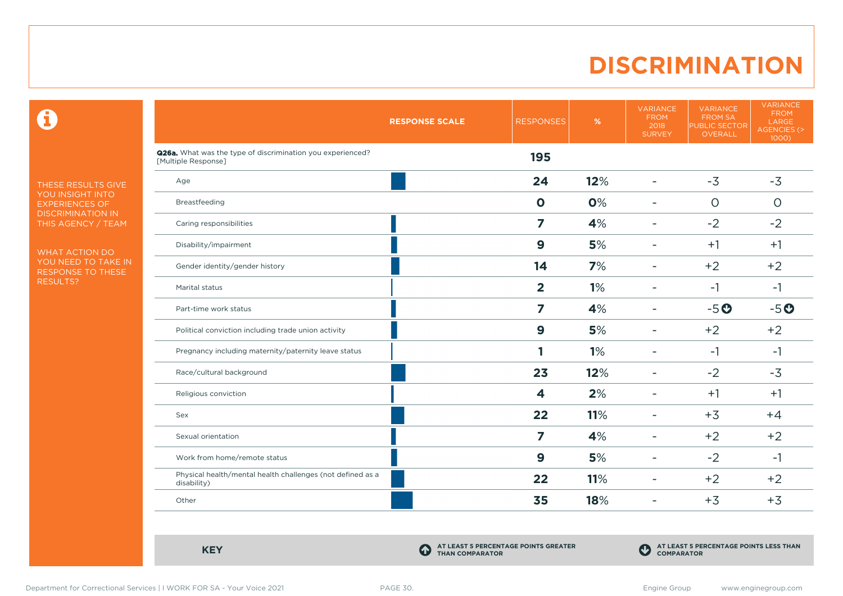### **DISCRIMINATION**

 $\mathbf \Theta$ 

THESE RESULTS GIVE YOU INSIGHT INTO EXPERIENCES OF DISCRIMINATION IN THIS AGENCY / TEAM

WHAT ACTION DO YOU NEED TO TAKE IN RESPONSE TO THESE RESULTS?

|                                                                                   | <b>RESPONSE SCALE</b> | <b>RESPONSES</b> | %   | <b>VARIANCE</b><br><b>FROM</b><br>2018<br><b>SURVEY</b> | <b>VARIANCE</b><br><b>FROM SA</b><br>PUBLIC SECTOR<br><b>OVERALL</b> | <b>VARIANCE</b><br><b>FROM</b><br>LARGE<br><b>AGENCIES (&gt;</b><br>1000) |
|-----------------------------------------------------------------------------------|-----------------------|------------------|-----|---------------------------------------------------------|----------------------------------------------------------------------|---------------------------------------------------------------------------|
| Q26a. What was the type of discrimination you experienced?<br>[Multiple Response] |                       | 195              |     |                                                         |                                                                      |                                                                           |
| Age                                                                               |                       | 24               | 12% | $\overline{\phantom{a}}$                                | $-3$                                                                 | $-3$                                                                      |
| Breastfeeding                                                                     |                       | $\mathbf 0$      | 0%  | $\overline{\phantom{a}}$                                | $\circ$                                                              | $\circ$                                                                   |
| Caring responsibilities                                                           |                       | 7                | 4%  | $\overline{\phantom{a}}$                                | $-2$                                                                 | $-2$                                                                      |
| Disability/impairment                                                             |                       | $\boldsymbol{9}$ | 5%  | ٠                                                       | $+1$                                                                 | $+1$                                                                      |
| Gender identity/gender history                                                    |                       | 14               | 7%  | ٠                                                       | $+2$                                                                 | $+2$                                                                      |
| Marital status                                                                    |                       | $\overline{2}$   | 1%  | $\blacksquare$                                          | $-1$                                                                 | $-1$                                                                      |
| Part-time work status                                                             |                       | 7                | 4%  | $\overline{\phantom{a}}$                                | $-5o$                                                                | $-5o$                                                                     |
| Political conviction including trade union activity                               |                       | $\boldsymbol{9}$ | 5%  | $\blacksquare$                                          | $+2$                                                                 | $+2$                                                                      |
| Pregnancy including maternity/paternity leave status                              |                       |                  | 1%  | $\overline{\phantom{a}}$                                | $-1$                                                                 | $-1$                                                                      |
| Race/cultural background                                                          |                       | 23               | 12% | $\overline{\phantom{a}}$                                | $-2$                                                                 | $-3$                                                                      |
| Religious conviction                                                              |                       | 4                | 2%  | $\overline{\phantom{a}}$                                | $+1$                                                                 | $+1$                                                                      |
| Sex                                                                               |                       | 22               | 11% | $\overline{\phantom{0}}$                                | $+3$                                                                 | $+4$                                                                      |
| Sexual orientation                                                                |                       | $\overline{z}$   | 4%  | $\overline{\phantom{a}}$                                | $+2$                                                                 | $+2$                                                                      |
| Work from home/remote status                                                      |                       | $\boldsymbol{9}$ | 5%  | $\overline{\phantom{0}}$                                | $-2$                                                                 | $-1$                                                                      |
| Physical health/mental health challenges (not defined as a<br>disability)         |                       | 22               | 11% | ۰                                                       | $+2$                                                                 | $+2$                                                                      |
| Other                                                                             |                       | 35               | 18% | $\overline{\phantom{a}}$                                | $+3$                                                                 | $+3$                                                                      |

**KEY C** 

**AT LEAST 5 PERCENTAGE POINTS GREATER THAN COMPARATOR**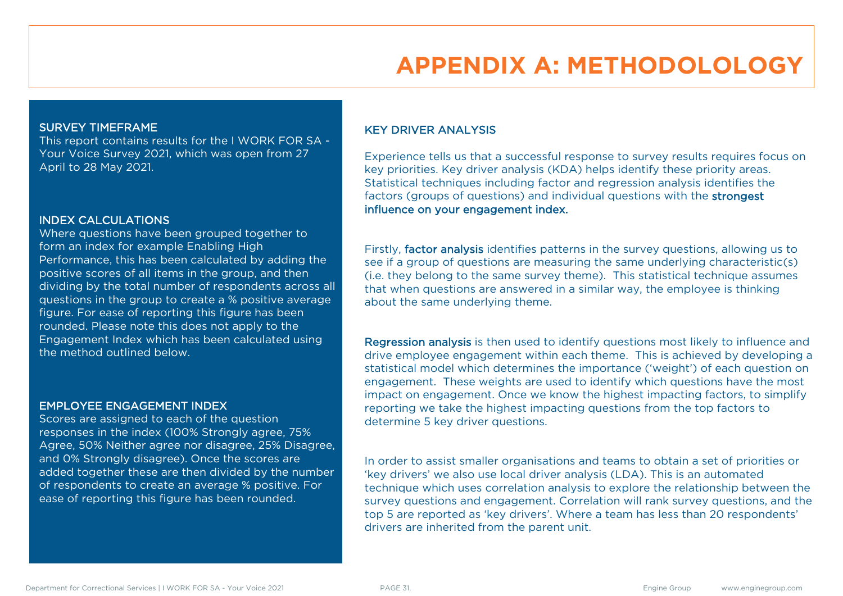# **APPENDIX A: METHODOLOLOGY**

#### SURVEY TIMEFRAME

This report contains results for the I WORK FOR SA - Your Voice Survey 2021, which was open from 27 April to 28 May 2021.

#### INDEX CALCULATIONS

Where questions have been grouped together to form an index for example Enabling High Performance, this has been calculated by adding the positive scores of all items in the group, and then dividing by the total number of respondents across all questions in the group to create a % positive average figure. For ease of reporting this figure has been rounded. Please note this does not apply to the Engagement Index which has been calculated using the method outlined below.

#### EMPLOYEE ENGAGEMENT INDEX

Scores are assigned to each of the question responses in the index (100% Strongly agree, 75% Agree, 50% Neither agree nor disagree, 25% Disagree, and 0% Strongly disagree). Once the scores are added together these are then divided by the number of respondents to create an average % positive. For ease of reporting this figure has been rounded.

#### KEY DRIVER ANALYSIS

Experience tells us that a successful response to survey results requires focus on key priorities. Key driver analysis (KDA) helps identify these priority areas. Statistical techniques including factor and regression analysis identifies the factors (groups of questions) and individual questions with the strongest influence on your engagement index.

Firstly, factor analysis identifies patterns in the survey questions, allowing us to see if a group of questions are measuring the same underlying characteristic(s) (i.e. they belong to the same survey theme). This statistical technique assumes that when questions are answered in a similar way, the employee is thinking about the same underlying theme.

Regression analysis is then used to identify questions most likely to influence and drive employee engagement within each theme. This is achieved by developing a statistical model which determines the importance ('weight') of each question on engagement. These weights are used to identify which questions have the most impact on engagement. Once we know the highest impacting factors, to simplify reporting we take the highest impacting questions from the top factors to determine 5 key driver questions.

In order to assist smaller organisations and teams to obtain a set of priorities or 'key drivers' we also use local driver analysis (LDA). This is an automated technique which uses correlation analysis to explore the relationship between the survey questions and engagement. Correlation will rank survey questions, and the top 5 are reported as 'key drivers'. Where a team has less than 20 respondents' drivers are inherited from the parent unit.